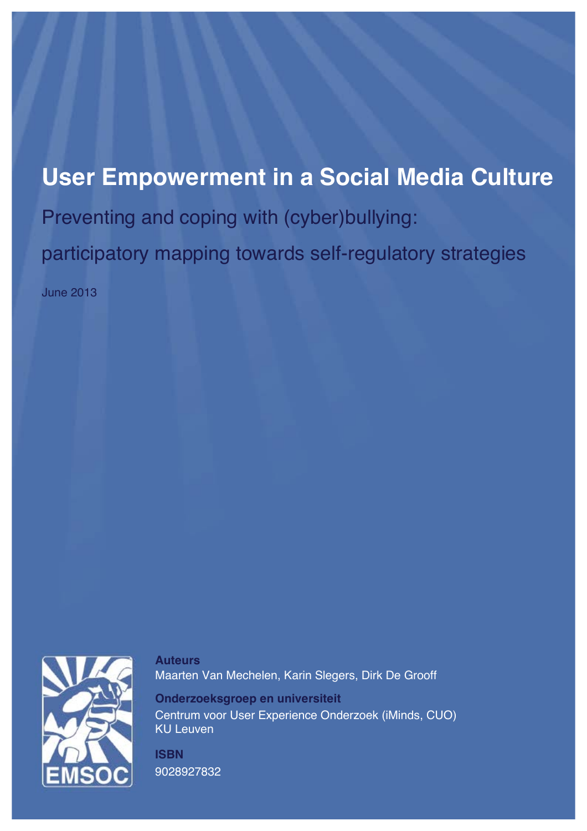# **User Empowerment in a Social Media Culture** Preventing and coping with (cyber)bullying: participatory mapping towards self-regulatory strategies

June 2013



**Auteurs** Maarten Van Mechelen, Karin Slegers, Dirk De Grooff

**Onderzoeksgroep en universiteit** Centrum voor User Experience Onderzoek (iMinds, CUO) KU Leuven

**ISBN** 9028927832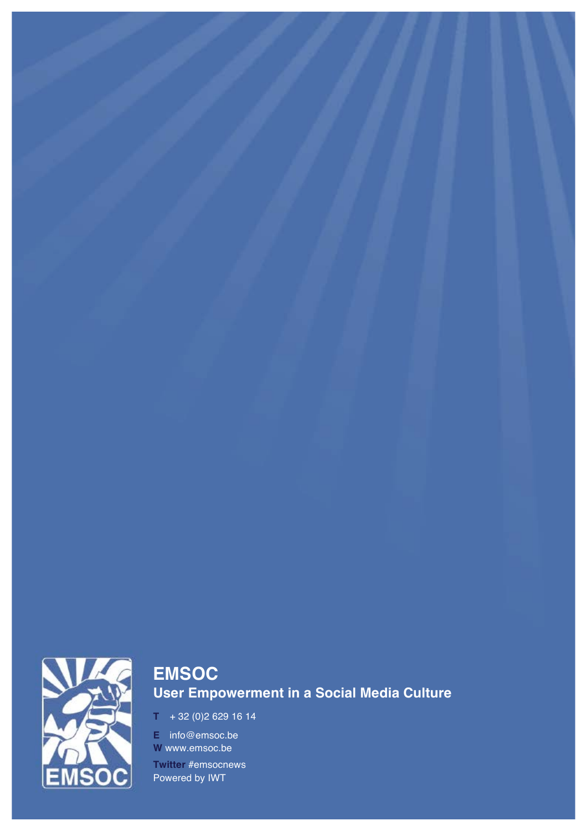

# **EMSOC User Empowerment in a Social Media Culture**

**T** + 32 (0)2 629 16 14

**E** info@emsoc.be **W** www.emsoc.be **Twitter** #emsocnews Powered by IWT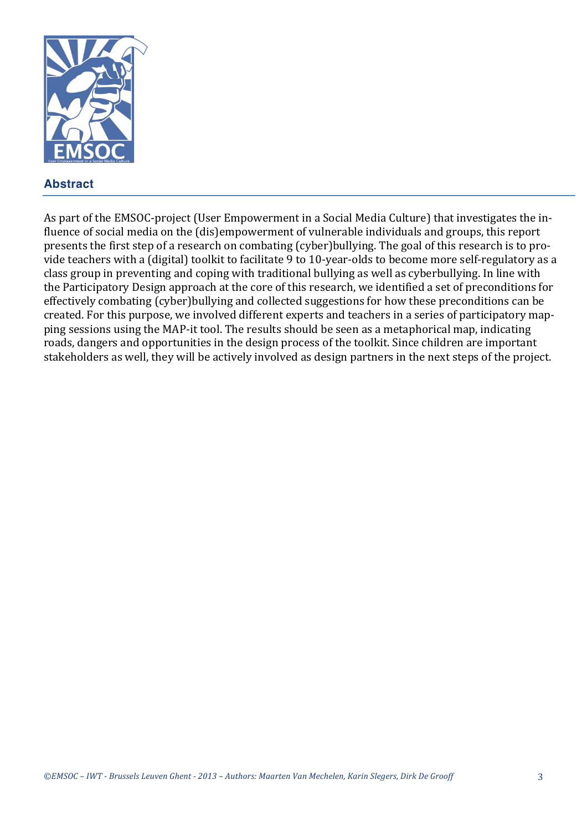

# **Abstract**

As part of the EMSOC-project (User Empowerment in a Social Media Culture) that investigates the influence of social media on the (dis)empowerment of vulnerable individuals and groups, this report presents the first step of a research on combating (cyber)bullying. The goal of this research is to provide teachers with a (digital) toolkit to facilitate 9 to 10-year-olds to become more self-regulatory as a class group in preventing and coping with traditional bullying as well as cyberbullying. In line with the Participatory Design approach at the core of this research, we identified a set of preconditions for effectively combating (cyber)bullying and collected suggestions for how these preconditions can be created. For this purpose, we involved different experts and teachers in a series of participatory mapping sessions using the MAP-it tool. The results should be seen as a metaphorical map, indicating roads, dangers and opportunities in the design process of the toolkit. Since children are important stakeholders as well, they will be actively involved as design partners in the next steps of the project.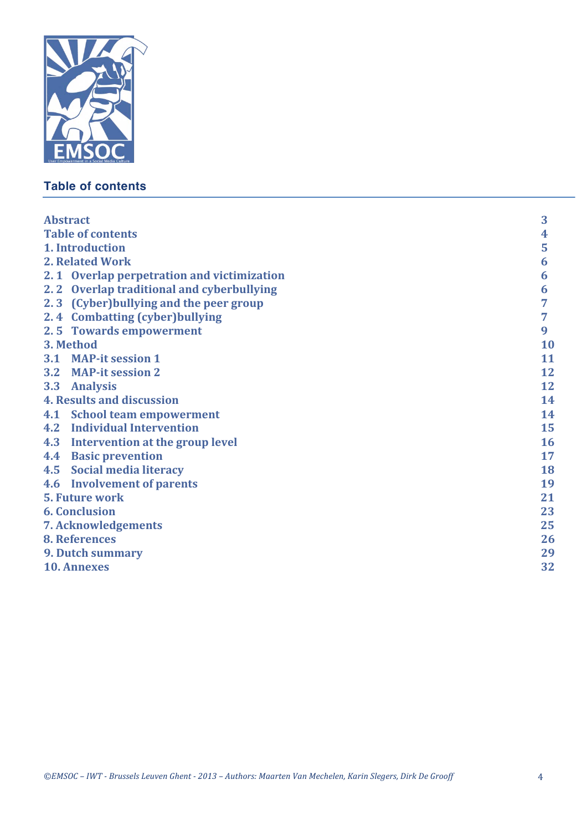

# **Table of contents**

| <b>Abstract</b>                  |                                            | 3  |
|----------------------------------|--------------------------------------------|----|
| <b>Table of contents</b>         |                                            | 4  |
| 1. Introduction                  |                                            | 5  |
| 2. Related Work                  |                                            | 6  |
|                                  | 2.1 Overlap perpetration and victimization | 6  |
|                                  | 2.2 Overlap traditional and cyberbullying  | 6  |
|                                  | 2.3 (Cyber) bullying and the peer group    | 7  |
|                                  | 2.4 Combatting (cyber) bullying            | 7  |
|                                  | 2.5 Towards empowerment                    | 9  |
| 3. Method                        |                                            | 10 |
|                                  | 3.1 MAP-it session 1                       | 11 |
|                                  | 3.2 MAP-it session 2                       | 12 |
|                                  | 3.3 Analysis                               | 12 |
| <b>4. Results and discussion</b> |                                            | 14 |
|                                  | 4.1 School team empowerment                | 14 |
|                                  | <b>4.2</b> Individual Intervention         | 15 |
| 4.3                              | Intervention at the group level            | 16 |
| 4.4                              | <b>Basic prevention</b>                    | 17 |
| 4.5                              | Social media literacy                      | 18 |
|                                  | 4.6 Involvement of parents                 | 19 |
| <b>5. Future work</b>            |                                            | 21 |
| <b>6. Conclusion</b>             |                                            | 23 |
| <b>7. Acknowledgements</b>       |                                            | 25 |
| 8. References                    |                                            | 26 |
| 9. Dutch summary                 |                                            | 29 |
|                                  | <b>10. Annexes</b>                         | 32 |
|                                  |                                            |    |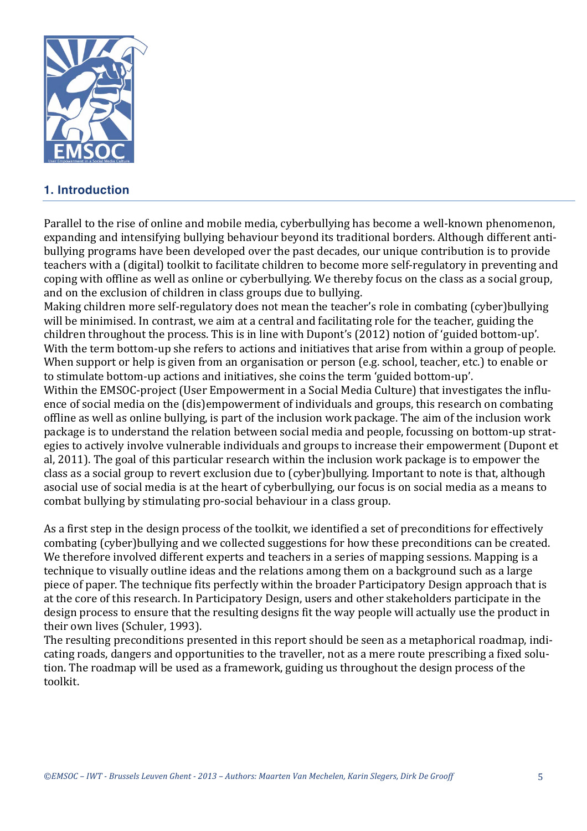

# **1. Introduction**

Parallel to the rise of online and mobile media, cyberbullying has become a well-known phenomenon, expanding and intensifying bullying behaviour beyond its traditional borders. Although different antibullying programs have been developed over the past decades, our unique contribution is to provide teachers with a (digital) toolkit to facilitate children to become more self-regulatory in preventing and coping with offline as well as online or cyberbullying. We thereby focus on the class as a social group, and on the exclusion of children in class groups due to bullying.

Making children more self-regulatory does not mean the teacher's role in combating (cyber)bullying will be minimised. In contrast, we aim at a central and facilitating role for the teacher, guiding the children throughout the process. This is in line with Dupont's (2012) notion of 'guided bottom-up'. With the term bottom-up she refers to actions and initiatives that arise from within a group of people. When support or help is given from an organisation or person (e.g. school, teacher, etc.) to enable or to stimulate bottom-up actions and initiatives, she coins the term 'guided bottom-up'.

Within the EMSOC-project (User Empowerment in a Social Media Culture) that investigates the influence of social media on the (dis)empowerment of individuals and groups, this research on combating offline as well as online bullying, is part of the inclusion work package. The aim of the inclusion work package is to understand the relation between social media and people, focussing on bottom-up strategies to actively involve vulnerable individuals and groups to increase their empowerment (Dupont et al, 2011). The goal of this particular research within the inclusion work package is to empower the class as a social group to revert exclusion due to (cyber)bullying. Important to note is that, although asocial use of social media is at the heart of cyberbullying, our focus is on social media as a means to combat bullying by stimulating pro-social behaviour in a class group.

As a first step in the design process of the toolkit, we identified a set of preconditions for effectively combating (cyber)bullying and we collected suggestions for how these preconditions can be created. We therefore involved different experts and teachers in a series of mapping sessions. Mapping is a technique to visually outline ideas and the relations among them on a background such as a large piece of paper. The technique fits perfectly within the broader Participatory Design approach that is at the core of this research. In Participatory Design, users and other stakeholders participate in the design process to ensure that the resulting designs fit the way people will actually use the product in their own lives (Schuler, 1993).

The resulting preconditions presented in this report should be seen as a metaphorical roadmap, indicating roads, dangers and opportunities to the traveller, not as a mere route prescribing a fixed solution. The roadmap will be used as a framework, guiding us throughout the design process of the toolkit.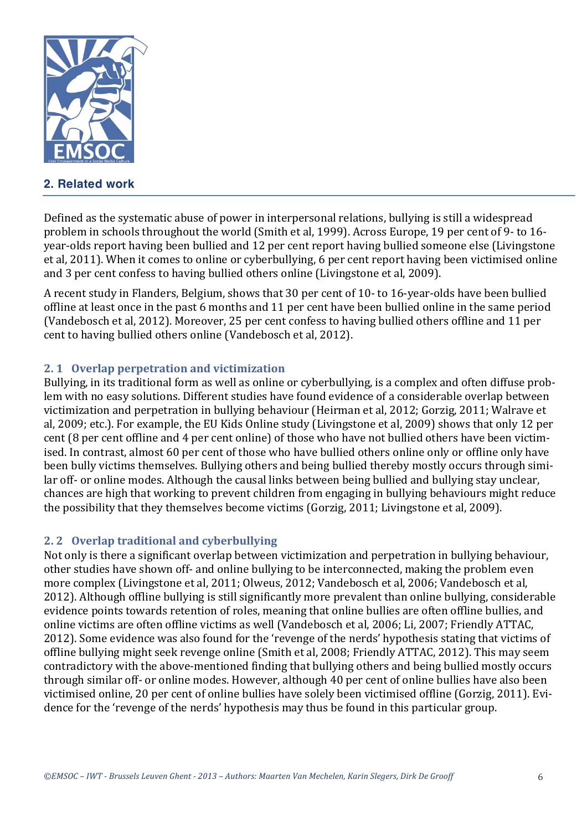

# **2. Related work**

Defined as the systematic abuse of power in interpersonal relations, bullying is still a widespread problem in schools throughout the world (Smith et al, 1999). Across Europe, 19 per cent of 9- to 16year-olds report having been bullied and 12 per cent report having bullied someone else (Livingstone et al, 2011). When it comes to online or cyberbullying, 6 per cent report having been victimised online and 3 per cent confess to having bullied others online (Livingstone et al, 2009).

A recent study in Flanders, Belgium, shows that 30 per cent of 10- to 16-year-olds have been bullied offline at least once in the past 6 months and 11 per cent have been bullied online in the same period (Vandebosch et al, 2012). Moreover, 25 per cent confess to having bullied others offline and 11 per cent to having bullied others online (Vandebosch et al, 2012).

#### **2.1 Overlap perpetration and victimization**

Bullying, in its traditional form as well as online or cyberbullying, is a complex and often diffuse problem with no easy solutions. Different studies have found evidence of a considerable overlap between victimization and perpetration in bullying behaviour (Heirman et al, 2012; Gorzig, 2011; Walrave et al, 2009; etc.). For example, the EU Kids Online study (Livingstone et al, 2009) shows that only 12 per cent (8 per cent offline and 4 per cent online) of those who have not bullied others have been victimised. In contrast, almost 60 per cent of those who have bullied others online only or offline only have been bully victims themselves. Bullying others and being bullied thereby mostly occurs through similar off- or online modes. Although the causal links between being bullied and bullying stay unclear, chances are high that working to prevent children from engaging in bullying behaviours might reduce the possibility that they themselves become victims (Gorzig, 2011; Livingstone et al, 2009).

#### **2. 2 Overlap traditional and cyberbullying**

Not only is there a significant overlap between victimization and perpetration in bullying behaviour, other studies have shown off- and online bullying to be interconnected, making the problem even more complex (Livingstone et al, 2011; Olweus, 2012; Vandebosch et al, 2006; Vandebosch et al, 2012). Although offline bullying is still significantly more prevalent than online bullying, considerable evidence points towards retention of roles, meaning that online bullies are often offline bullies, and online victims are often offline victims as well (Vandebosch et al, 2006; Li, 2007; Friendly ATTAC, 2012). Some evidence was also found for the 'revenge of the nerds' hypothesis stating that victims of offline bullying might seek revenge online (Smith et al, 2008; Friendly ATTAC, 2012). This may seem contradictory with the above-mentioned finding that bullying others and being bullied mostly occurs through similar off- or online modes. However, although 40 per cent of online bullies have also been victimised online, 20 per cent of online bullies have solely been victimised offline (Gorzig, 2011). Evidence for the 'revenge of the nerds' hypothesis may thus be found in this particular group.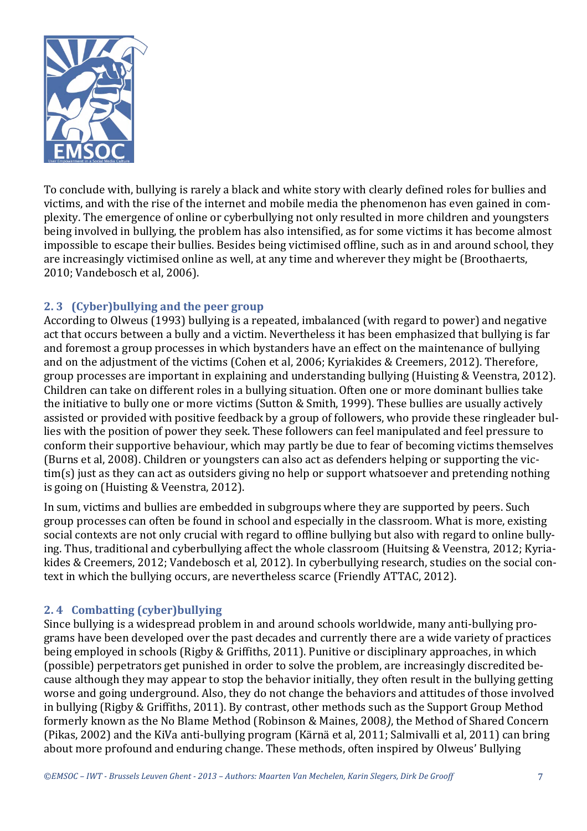

To conclude with, bullying is rarely a black and white story with clearly defined roles for bullies and victims, and with the rise of the internet and mobile media the phenomenon has even gained in complexity. The emergence of online or cyberbullying not only resulted in more children and youngsters being involved in bullying, the problem has also intensified, as for some victims it has become almost impossible to escape their bullies. Besides being victimised offline, such as in and around school, they are increasingly victimised online as well, at any time and wherever they might be (Broothaerts, 2010; Vandebosch et al, 2006).

#### **2.3** (Cyber)bullying and the peer group

According to Olweus (1993) bullying is a repeated, imbalanced (with regard to power) and negative act that occurs between a bully and a victim. Nevertheless it has been emphasized that bullying is far and foremost a group processes in which bystanders have an effect on the maintenance of bullying and on the adjustment of the victims (Cohen et al. 2006; Kyriakides & Creemers, 2012). Therefore, group processes are important in explaining and understanding bullying (Huisting & Veenstra, 2012). Children can take on different roles in a bullying situation. Often one or more dominant bullies take the initiative to bully one or more victims (Sutton & Smith, 1999). These bullies are usually actively assisted or provided with positive feedback by a group of followers, who provide these ringleader bullies with the position of power they seek. These followers can feel manipulated and feel pressure to conform their supportive behaviour, which may partly be due to fear of becoming victims themselves (Burns et al, 2008). Children or youngsters can also act as defenders helping or supporting the vic- $\lim(s)$  just as they can act as outsiders giving no help or support whatsoever and pretending nothing is going on (Huisting & Veenstra, 2012).

In sum, victims and bullies are embedded in subgroups where they are supported by peers. Such group processes can often be found in school and especially in the classroom. What is more, existing social contexts are not only crucial with regard to offline bullying but also with regard to online bullying. Thus, traditional and cyberbullying affect the whole classroom (Huitsing & Veenstra, 2012; Kyriakides & Creemers, 2012; Vandebosch et al, 2012). In cyberbullying research, studies on the social context in which the bullying occurs, are nevertheless scarce (Friendly ATTAC, 2012).

#### **2.4 Combatting** (cyber)bullying

Since bullying is a widespread problem in and around schools worldwide, many anti-bullying programs have been developed over the past decades and currently there are a wide variety of practices being employed in schools (Rigby & Griffiths, 2011). Punitive or disciplinary approaches, in which (possible) perpetrators get punished in order to solve the problem, are increasingly discredited because although they may appear to stop the behavior initially, they often result in the bullying getting worse and going underground. Also, they do not change the behaviors and attitudes of those involved in bullying (Rigby & Griffiths, 2011). By contrast, other methods such as the Support Group Method formerly known as the No Blame Method (Robinson & Maines, 2008), the Method of Shared Concern (Pikas, 2002) and the KiVa anti-bullying program (Kärnä et al, 2011; Salmivalli et al, 2011) can bring about more profound and enduring change. These methods, often inspired by Olweus' Bullying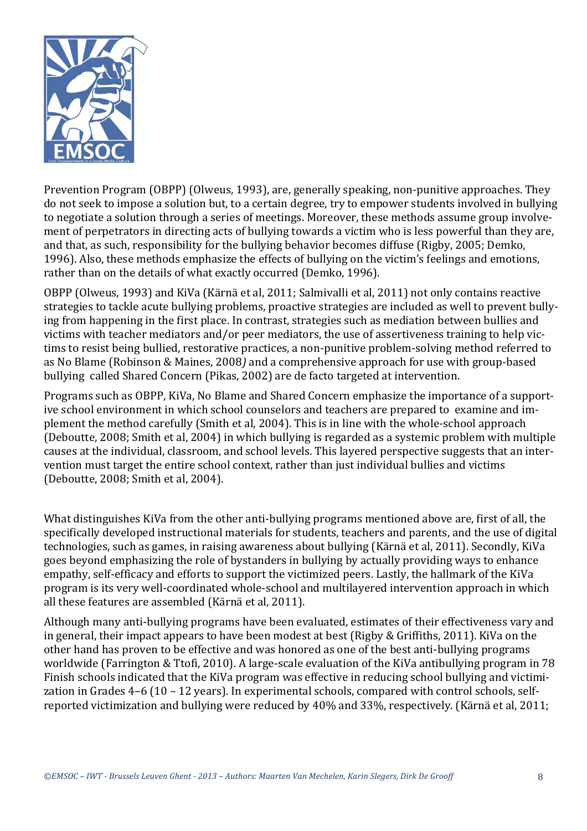

Prevention Program (OBPP) (Olweus, 1993), are, generally speaking, non-punitive approaches. They do not seek to impose a solution but, to a certain degree, try to empower students involved in bullying to negotiate a solution through a series of meetings. Moreover, these methods assume group involvement of perpetrators in directing acts of bullying towards a victim who is less powerful than they are, and that, as such, responsibility for the bullying behavior becomes diffuse (Rigby, 2005; Demko, 1996). Also, these methods emphasize the effects of bullying on the victim's feelings and emotions, rather than on the details of what exactly occurred (Demko, 1996).

OBPP (Olweus, 1993) and KiVa (Kärnä et al, 2011; Salmivalli et al, 2011) not only contains reactive strategies to tackle acute bullying problems, proactive strategies are included as well to prevent bullying from happening in the first place. In contrast, strategies such as mediation between bullies and victims with teacher mediators and/or peer mediators, the use of assertiveness training to help victims to resist being bullied, restorative practices, a non-punitive problem-solving method referred to as No Blame (Robinson & Maines, 2008) and a comprehensive approach for use with group-based bullying called Shared Concern (Pikas, 2002) are de facto targeted at intervention.

Programs such as OBPP, KiVa, No Blame and Shared Concern emphasize the importance of a supportive school environment in which school counselors and teachers are prepared to examine and implement the method carefully (Smith et al, 2004). This is in line with the whole-school approach (Deboutte, 2008; Smith et al, 2004) in which bullying is regarded as a systemic problem with multiple causes at the individual, classroom, and school levels. This layered perspective suggests that an intervention must target the entire school context, rather than just individual bullies and victims (Deboutte, 2008; Smith et al, 2004).

What distinguishes KiVa from the other anti-bullying programs mentioned above are, first of all, the specifically developed instructional materials for students, teachers and parents, and the use of digital technologies, such as games, in raising awareness about bullying (Kärnä et al, 2011). Secondly, KiVa goes beyond emphasizing the role of bystanders in bullying by actually providing ways to enhance empathy, self-efficacy and efforts to support the victimized peers. Lastly, the hallmark of the KiVa program is its very well-coordinated whole-school and multilayered intervention approach in which all these features are assembled (Kärnä et al, 2011).

Although many anti-bullying programs have been evaluated, estimates of their effectiveness vary and in general, their impact appears to have been modest at best (Rigby & Griffiths, 2011). KiVa on the other hand has proven to be effective and was honored as one of the best anti-bullying programs worldwide (Farrington & Ttofi, 2010). A large-scale evaluation of the KiVa antibullying program in 78 Finish schools indicated that the KiVa program was effective in reducing school bullying and victimization in Grades  $4-6$  (10 – 12 years). In experimental schools, compared with control schools, selfreported victimization and bullying were reduced by 40% and 33%, respectively. (Kärnä et al, 2011;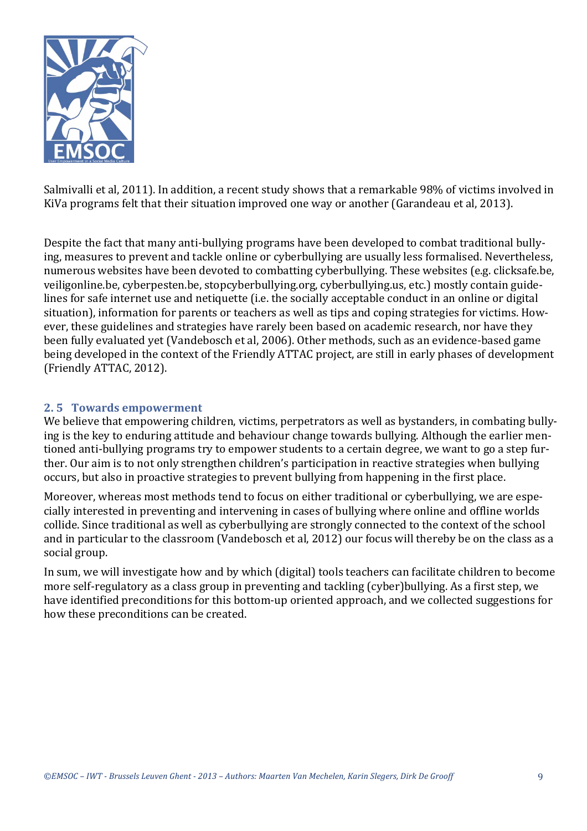

Salmivalli et al, 2011). In addition, a recent study shows that a remarkable 98% of victims involved in KiVa programs felt that their situation improved one way or another (Garandeau et al, 2013).

Despite the fact that many anti-bullying programs have been developed to combat traditional bullying, measures to prevent and tackle online or cyberbullying are usually less formalised. Nevertheless, numerous websites have been devoted to combatting cyberbullying. These websites (e.g. clicksafe.be, veiligonline.be, cyberpesten.be, stopcyberbullying.org, cyberbullying.us, etc.) mostly contain guidelines for safe internet use and netiquette (i.e. the socially acceptable conduct in an online or digital situation), information for parents or teachers as well as tips and coping strategies for victims. However, these guidelines and strategies have rarely been based on academic research, nor have they been fully evaluated yet (Vandebosch et al, 2006). Other methods, such as an evidence-based game being developed in the context of the Friendly ATTAC project, are still in early phases of development (Friendly ATTAC, 2012).

#### **2. 5 Towards empowerment**

We believe that empowering children, victims, perpetrators as well as bystanders, in combating bullying is the key to enduring attitude and behaviour change towards bullying. Although the earlier mentioned anti-bullying programs try to empower students to a certain degree, we want to go a step further. Our aim is to not only strengthen children's participation in reactive strategies when bullying occurs, but also in proactive strategies to prevent bullying from happening in the first place.

Moreover, whereas most methods tend to focus on either traditional or cyberbullying, we are especially interested in preventing and intervening in cases of bullying where online and offline worlds collide. Since traditional as well as cyberbullying are strongly connected to the context of the school and in particular to the classroom (Vandebosch et al, 2012) our focus will thereby be on the class as a social group.

In sum, we will investigate how and by which (digital) tools teachers can facilitate children to become more self-regulatory as a class group in preventing and tackling (cyber)bullying. As a first step, we have identified preconditions for this bottom-up oriented approach, and we collected suggestions for how these preconditions can be created.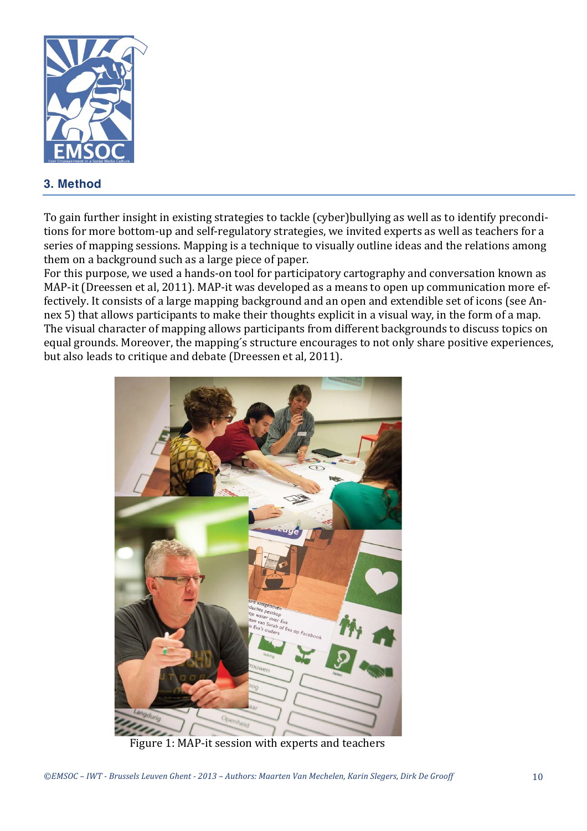

# **3. Method**

To gain further insight in existing strategies to tackle (cyber)bullying as well as to identify preconditions for more bottom-up and self-regulatory strategies, we invited experts as well as teachers for a series of mapping sessions. Mapping is a technique to visually outline ideas and the relations among them on a background such as a large piece of paper.

For this purpose, we used a hands-on tool for participatory cartography and conversation known as MAP-it (Dreessen et al, 2011). MAP-it was developed as a means to open up communication more effectively. It consists of a large mapping background and an open and extendible set of icons (see Annex 5) that allows participants to make their thoughts explicit in a visual way, in the form of a map. The visual character of mapping allows participants from different backgrounds to discuss topics on equal grounds. Moreover, the mapping's structure encourages to not only share positive experiences, but also leads to critique and debate (Dreessen et al, 2011).



Figure 1: MAP-it session with experts and teachers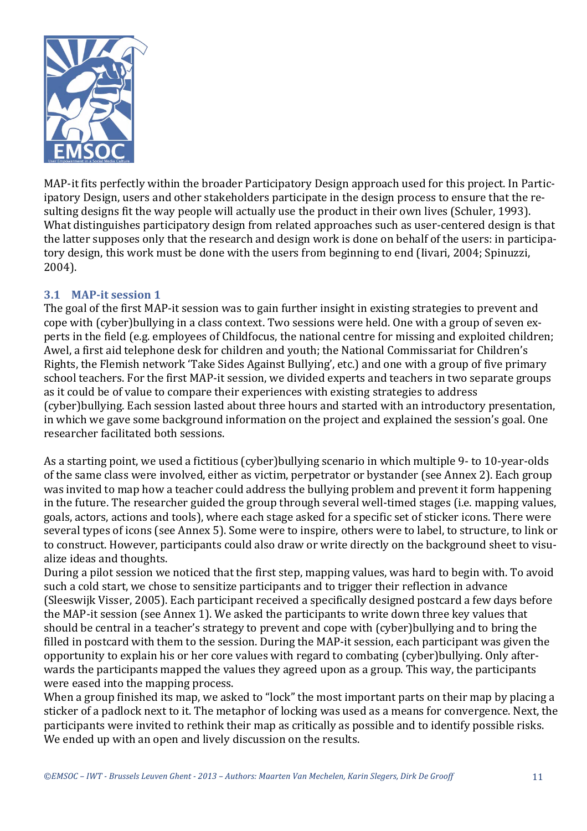

MAP-it fits perfectly within the broader Participatory Design approach used for this project. In Participatory Design, users and other stakeholders participate in the design process to ensure that the resulting designs fit the way people will actually use the product in their own lives (Schuler, 1993). What distinguishes participatory design from related approaches such as user-centered design is that the latter supposes only that the research and design work is done on behalf of the users: in participatory design, this work must be done with the users from beginning to end (Iivari, 2004; Spinuzzi, 2004).

#### **3.1 MAP-it session 1**

The goal of the first MAP-it session was to gain further insight in existing strategies to prevent and cope with (cyber)bullying in a class context. Two sessions were held. One with a group of seven experts in the field (e.g. employees of Childfocus, the national centre for missing and exploited children; Awel, a first aid telephone desk for children and youth; the National Commissariat for Children's Rights, the Flemish network 'Take Sides Against Bullying', etc.) and one with a group of five primary school teachers. For the first MAP-it session, we divided experts and teachers in two separate groups as it could be of value to compare their experiences with existing strategies to address (cyber)bullying. Each session lasted about three hours and started with an introductory presentation, in which we gave some background information on the project and explained the session's goal. One researcher facilitated both sessions.

As a starting point, we used a fictitious (cyber)bullying scenario in which multiple 9- to 10-year-olds of the same class were involved, either as victim, perpetrator or bystander (see Annex 2). Each group was invited to map how a teacher could address the bullying problem and prevent it form happening in the future. The researcher guided the group through several well-timed stages (i.e. mapping values, goals, actors, actions and tools), where each stage asked for a specific set of sticker icons. There were several types of icons (see Annex 5). Some were to inspire, others were to label, to structure, to link or to construct. However, participants could also draw or write directly on the background sheet to visualize ideas and thoughts.

During a pilot session we noticed that the first step, mapping values, was hard to begin with. To avoid such a cold start, we chose to sensitize participants and to trigger their reflection in advance (Sleeswijk Visser, 2005). Each participant received a specifically designed postcard a few days before the MAP-it session (see Annex 1). We asked the participants to write down three key values that should be central in a teacher's strategy to prevent and cope with (cyber)bullying and to bring the filled in postcard with them to the session. During the MAP-it session, each participant was given the opportunity to explain his or her core values with regard to combating (cyber)bullying. Only afterwards the participants mapped the values they agreed upon as a group. This way, the participants were eased into the mapping process.

When a group finished its map, we asked to "lock" the most important parts on their map by placing a sticker of a padlock next to it. The metaphor of locking was used as a means for convergence. Next, the participants were invited to rethink their map as critically as possible and to identify possible risks. We ended up with an open and lively discussion on the results.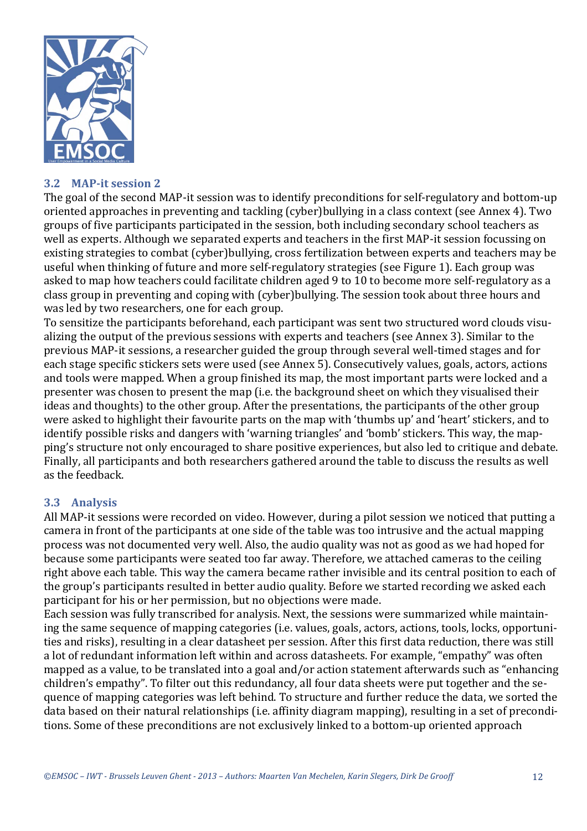

#### **3.2 MAP-it session 2**

The goal of the second MAP-it session was to identify preconditions for self-regulatory and bottom-up oriented approaches in preventing and tackling (cyber)bullying in a class context (see Annex 4). Two groups of five participants participated in the session, both including secondary school teachers as well as experts. Although we separated experts and teachers in the first MAP-it session focussing on existing strategies to combat (cyber)bullying, cross fertilization between experts and teachers may be useful when thinking of future and more self-regulatory strategies (see Figure 1). Each group was asked to map how teachers could facilitate children aged 9 to 10 to become more self-regulatory as a class group in preventing and coping with (cyber)bullying. The session took about three hours and was led by two researchers, one for each group.

To sensitize the participants beforehand, each participant was sent two structured word clouds visualizing the output of the previous sessions with experts and teachers (see Annex 3). Similar to the previous MAP-it sessions, a researcher guided the group through several well-timed stages and for each stage specific stickers sets were used (see Annex 5). Consecutively values, goals, actors, actions and tools were mapped. When a group finished its map, the most important parts were locked and a presenter was chosen to present the map (i.e. the background sheet on which they visualised their ideas and thoughts) to the other group. After the presentations, the participants of the other group were asked to highlight their favourite parts on the map with 'thumbs up' and 'heart' stickers, and to identify possible risks and dangers with 'warning triangles' and 'bomb' stickers. This way, the mapping's structure not only encouraged to share positive experiences, but also led to critique and debate. Finally, all participants and both researchers gathered around the table to discuss the results as well as the feedback.

#### **3.3 Analysis**

All MAP-it sessions were recorded on video. However, during a pilot session we noticed that putting a camera in front of the participants at one side of the table was too intrusive and the actual mapping process was not documented very well. Also, the audio quality was not as good as we had hoped for because some participants were seated too far away. Therefore, we attached cameras to the ceiling right above each table. This way the camera became rather invisible and its central position to each of the group's participants resulted in better audio quality. Before we started recording we asked each participant for his or her permission, but no objections were made.

Each session was fully transcribed for analysis. Next, the sessions were summarized while maintaining the same sequence of mapping categories (i.e. values, goals, actors, actions, tools, locks, opportunities and risks), resulting in a clear datasheet per session. After this first data reduction, there was still a lot of redundant information left within and across datasheets. For example, "empathy" was often mapped as a value, to be translated into a goal and/or action statement afterwards such as "enhancing" children's empathy". To filter out this redundancy, all four data sheets were put together and the sequence of mapping categories was left behind. To structure and further reduce the data, we sorted the data based on their natural relationships (i.e. affinity diagram mapping), resulting in a set of preconditions. Some of these preconditions are not exclusively linked to a bottom-up oriented approach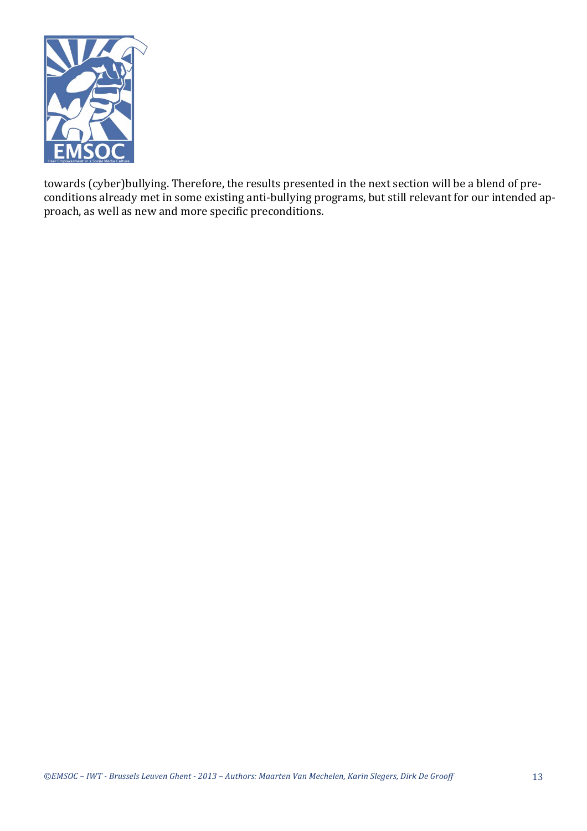

towards (cyber)bullying. Therefore, the results presented in the next section will be a blend of preconditions already met in some existing anti-bullying programs, but still relevant for our intended approach, as well as new and more specific preconditions.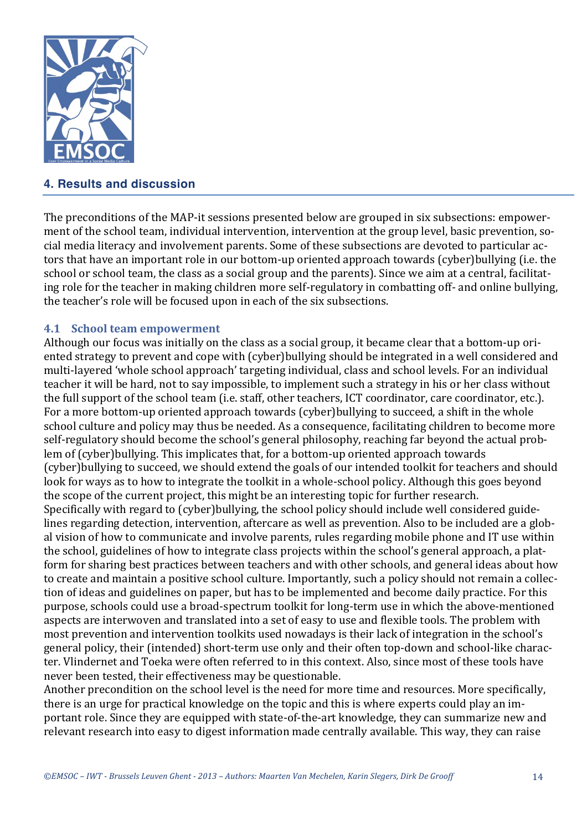

# **4. Results and discussion**

The preconditions of the MAP-it sessions presented below are grouped in six subsections: empowerment of the school team, individual intervention, intervention at the group level, basic prevention, social media literacy and involvement parents. Some of these subsections are devoted to particular actors that have an important role in our bottom-up oriented approach towards (cyber)bullying (i.e. the school or school team, the class as a social group and the parents). Since we aim at a central, facilitating role for the teacher in making children more self-regulatory in combatting off- and online bullying, the teacher's role will be focused upon in each of the six subsections.

#### **4.1 School team empowerment**

Although our focus was initially on the class as a social group, it became clear that a bottom-up oriented strategy to prevent and cope with (cyber)bullying should be integrated in a well considered and multi-layered 'whole school approach' targeting individual, class and school levels. For an individual teacher it will be hard, not to say impossible, to implement such a strategy in his or her class without the full support of the school team (i.e. staff, other teachers, ICT coordinator, care coordinator, etc.). For a more bottom-up oriented approach towards (cyber)bullying to succeed, a shift in the whole school culture and policy may thus be needed. As a consequence, facilitating children to become more self-regulatory should become the school's general philosophy, reaching far beyond the actual problem of (cyber)bullying. This implicates that, for a bottom-up oriented approach towards (cyber)bullying to succeed, we should extend the goals of our intended toolkit for teachers and should look for ways as to how to integrate the toolkit in a whole-school policy. Although this goes beyond the scope of the current project, this might be an interesting topic for further research. Specifically with regard to (cyber)bullying, the school policy should include well considered guidelines regarding detection, intervention, aftercare as well as prevention. Also to be included are a global vision of how to communicate and involve parents, rules regarding mobile phone and IT use within the school, guidelines of how to integrate class projects within the school's general approach, a platform for sharing best practices between teachers and with other schools, and general ideas about how to create and maintain a positive school culture. Importantly, such a policy should not remain a collection of ideas and guidelines on paper, but has to be implemented and become daily practice. For this purpose, schools could use a broad-spectrum toolkit for long-term use in which the above-mentioned aspects are interwoven and translated into a set of easy to use and flexible tools. The problem with most prevention and intervention toolkits used nowadays is their lack of integration in the school's general policy, their (intended) short-term use only and their often top-down and school-like character. Vlindernet and Toeka were often referred to in this context. Also, since most of these tools have never been tested, their effectiveness may be questionable.

Another precondition on the school level is the need for more time and resources. More specifically, there is an urge for practical knowledge on the topic and this is where experts could play an important role. Since they are equipped with state-of-the-art knowledge, they can summarize new and relevant research into easy to digest information made centrally available. This way, they can raise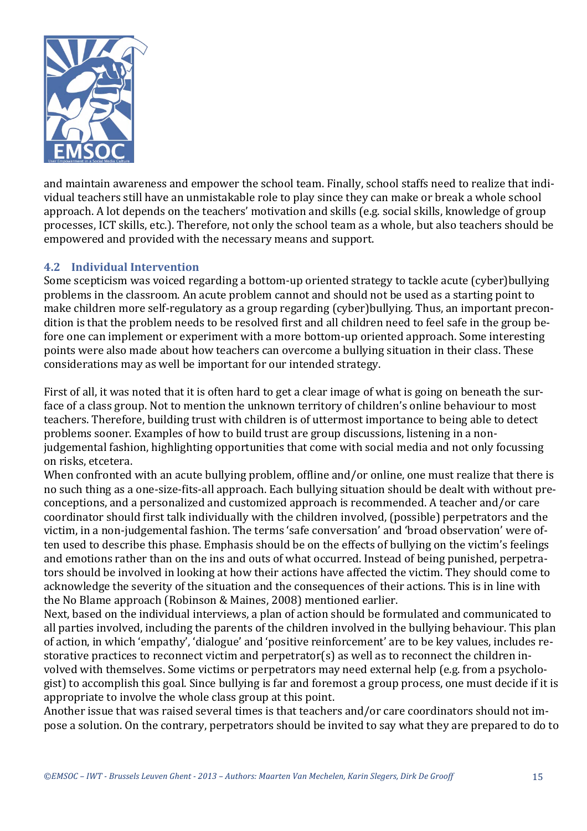

and maintain awareness and empower the school team. Finally, school staffs need to realize that individual teachers still have an unmistakable role to play since they can make or break a whole school approach. A lot depends on the teachers' motivation and skills (e.g. social skills, knowledge of group processes, ICT skills, etc.). Therefore, not only the school team as a whole, but also teachers should be empowered and provided with the necessary means and support.

#### **4.2 Individual Intervention**

Some scepticism was voiced regarding a bottom-up oriented strategy to tackle acute (cyber)bullying problems in the classroom. An acute problem cannot and should not be used as a starting point to make children more self-regulatory as a group regarding (cyber)bullying. Thus, an important precondition is that the problem needs to be resolved first and all children need to feel safe in the group before one can implement or experiment with a more bottom-up oriented approach. Some interesting points were also made about how teachers can overcome a bullying situation in their class. These considerations may as well be important for our intended strategy.

First of all, it was noted that it is often hard to get a clear image of what is going on beneath the surface of a class group. Not to mention the unknown territory of children's online behaviour to most teachers. Therefore, building trust with children is of uttermost importance to being able to detect problems sooner. Examples of how to build trust are group discussions, listening in a nonjudgemental fashion, highlighting opportunities that come with social media and not only focussing on risks, etcetera. 

When confronted with an acute bullying problem, offline and/or online, one must realize that there is no such thing as a one-size-fits-all approach. Each bullying situation should be dealt with without preconceptions, and a personalized and customized approach is recommended. A teacher and/or care coordinator should first talk individually with the children involved, (possible) perpetrators and the victim, in a non-judgemental fashion. The terms 'safe conversation' and 'broad observation' were often used to describe this phase. Emphasis should be on the effects of bullying on the victim's feelings and emotions rather than on the ins and outs of what occurred. Instead of being punished, perpetrators should be involved in looking at how their actions have affected the victim. They should come to acknowledge the severity of the situation and the consequences of their actions. This is in line with the No Blame approach (Robinson & Maines, 2008) mentioned earlier.

Next, based on the individual interviews, a plan of action should be formulated and communicated to all parties involved, including the parents of the children involved in the bullying behaviour. This plan of action, in which 'empathy', 'dialogue' and 'positive reinforcement' are to be key values, includes restorative practices to reconnect victim and perpetrator(s) as well as to reconnect the children involved with themselves. Some victims or perpetrators may need external help (e.g. from a psychologist) to accomplish this goal. Since bullying is far and foremost a group process, one must decide if it is appropriate to involve the whole class group at this point.

Another issue that was raised several times is that teachers and/or care coordinators should not impose a solution. On the contrary, perpetrators should be invited to say what they are prepared to do to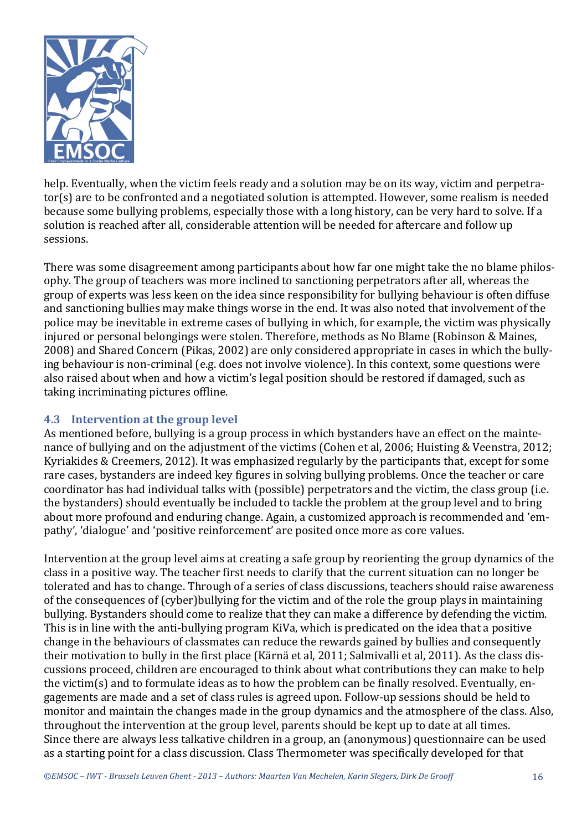

help. Eventually, when the victim feels ready and a solution may be on its way, victim and perpetrator(s) are to be confronted and a negotiated solution is attempted. However, some realism is needed because some bullying problems, especially those with a long history, can be very hard to solve. If a solution is reached after all, considerable attention will be needed for aftercare and follow up sessions. 

There was some disagreement among participants about how far one might take the no blame philosophy. The group of teachers was more inclined to sanctioning perpetrators after all, whereas the group of experts was less keen on the idea since responsibility for bullying behaviour is often diffuse and sanctioning bullies may make things worse in the end. It was also noted that involvement of the police may be inevitable in extreme cases of bullying in which, for example, the victim was physically injured or personal belongings were stolen. Therefore, methods as No Blame (Robinson & Maines, 2008) and Shared Concern (Pikas, 2002) are only considered appropriate in cases in which the bullying behaviour is non-criminal (e.g. does not involve violence). In this context, some questions were also raised about when and how a victim's legal position should be restored if damaged, such as taking incriminating pictures offline.

# **4.3** Intervention at the group level

As mentioned before, bullying is a group process in which bystanders have an effect on the maintenance of bullying and on the adjustment of the victims (Cohen et al, 2006; Huisting & Veenstra, 2012; Kyriakides & Creemers, 2012). It was emphasized regularly by the participants that, except for some rare cases, bystanders are indeed key figures in solving bullying problems. Once the teacher or care coordinator has had individual talks with (possible) perpetrators and the victim, the class group (i.e. the bystanders) should eventually be included to tackle the problem at the group level and to bring about more profound and enduring change. Again, a customized approach is recommended and 'empathy', 'dialogue' and 'positive reinforcement' are posited once more as core values.

Intervention at the group level aims at creating a safe group by reorienting the group dynamics of the class in a positive way. The teacher first needs to clarify that the current situation can no longer be tolerated and has to change. Through of a series of class discussions, teachers should raise awareness of the consequences of (cyber)bullying for the victim and of the role the group plays in maintaining bullying. Bystanders should come to realize that they can make a difference by defending the victim. This is in line with the anti-bullying program KiVa, which is predicated on the idea that a positive change in the behaviours of classmates can reduce the rewards gained by bullies and consequently their motivation to bully in the first place (Kärnä et al. 2011; Salmivalli et al. 2011). As the class discussions proceed, children are encouraged to think about what contributions they can make to help the victim(s) and to formulate ideas as to how the problem can be finally resolved. Eventually, engagements are made and a set of class rules is agreed upon. Follow-up sessions should be held to monitor and maintain the changes made in the group dynamics and the atmosphere of the class. Also, throughout the intervention at the group level, parents should be kept up to date at all times. Since there are always less talkative children in a group, an (anonymous) questionnaire can be used as a starting point for a class discussion. Class Thermometer was specifically developed for that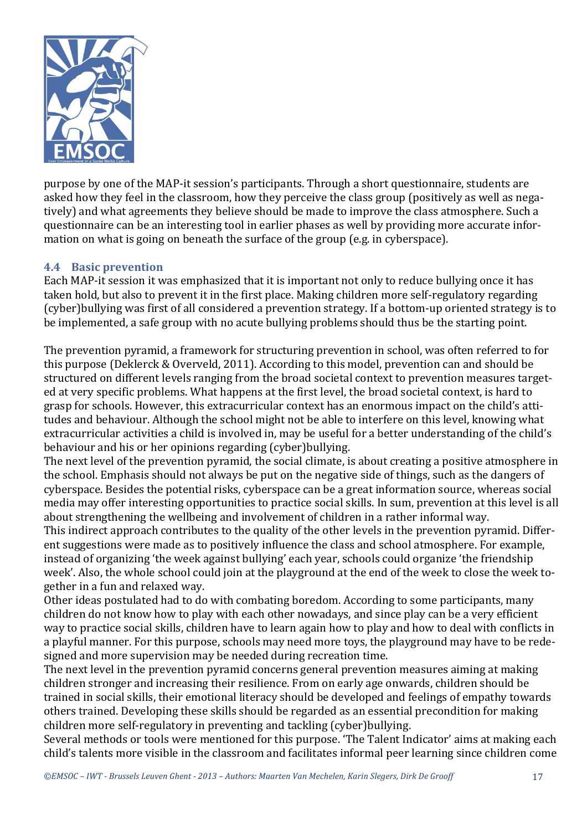

purpose by one of the MAP-it session's participants. Through a short questionnaire, students are asked how they feel in the classroom, how they perceive the class group (positively as well as negatively) and what agreements they believe should be made to improve the class atmosphere. Such a questionnaire can be an interesting tool in earlier phases as well by providing more accurate information on what is going on beneath the surface of the group (e.g. in cyberspace).

#### **4.4 Basic prevention**

Each MAP-it session it was emphasized that it is important not only to reduce bullying once it has taken hold, but also to prevent it in the first place. Making children more self-regulatory regarding (cyber)bullying was first of all considered a prevention strategy. If a bottom-up oriented strategy is to be implemented, a safe group with no acute bullying problems should thus be the starting point.

The prevention pyramid, a framework for structuring prevention in school, was often referred to for this purpose (Deklerck & Overveld, 2011). According to this model, prevention can and should be structured on different levels ranging from the broad societal context to prevention measures targeted at very specific problems. What happens at the first level, the broad societal context, is hard to grasp for schools. However, this extracurricular context has an enormous impact on the child's attitudes and behaviour. Although the school might not be able to interfere on this level, knowing what extracurricular activities a child is involved in, may be useful for a better understanding of the child's behaviour and his or her opinions regarding (cyber)bullying.

The next level of the prevention pyramid, the social climate, is about creating a positive atmosphere in the school. Emphasis should not always be put on the negative side of things, such as the dangers of cyberspace. Besides the potential risks, cyberspace can be a great information source, whereas social media may offer interesting opportunities to practice social skills. In sum, prevention at this level is all about strengthening the wellbeing and involvement of children in a rather informal way.

This indirect approach contributes to the quality of the other levels in the prevention pyramid. Different suggestions were made as to positively influence the class and school atmosphere. For example, instead of organizing 'the week against bullying' each year, schools could organize 'the friendship week'. Also, the whole school could join at the playground at the end of the week to close the week together in a fun and relaxed way.

Other ideas postulated had to do with combating boredom. According to some participants, many children do not know how to play with each other nowadays, and since play can be a very efficient way to practice social skills, children have to learn again how to play and how to deal with conflicts in a playful manner. For this purpose, schools may need more toys, the playground may have to be redesigned and more supervision may be needed during recreation time.

The next level in the prevention pyramid concerns general prevention measures aiming at making children stronger and increasing their resilience. From on early age onwards, children should be trained in social skills, their emotional literacy should be developed and feelings of empathy towards others trained. Developing these skills should be regarded as an essential precondition for making children more self-regulatory in preventing and tackling (cyber)bullying.

Several methods or tools were mentioned for this purpose. 'The Talent Indicator' aims at making each child's talents more visible in the classroom and facilitates informal peer learning since children come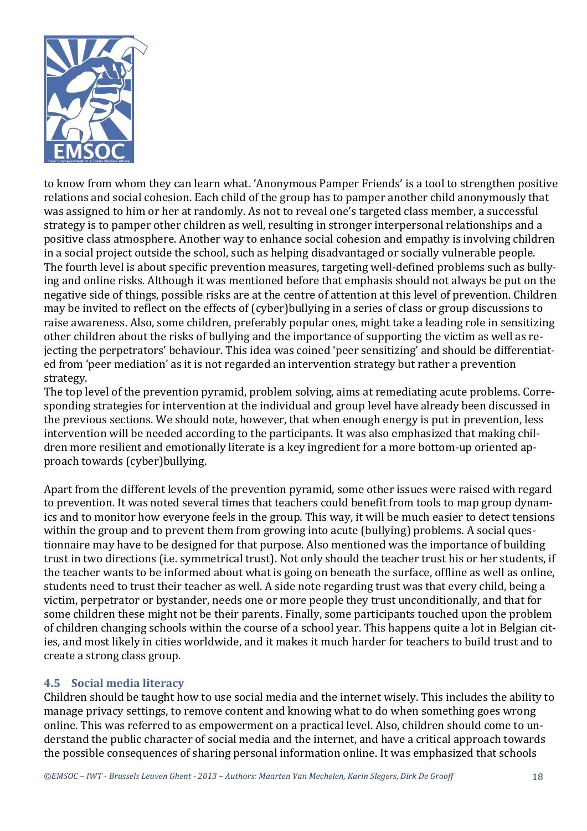

to know from whom they can learn what. 'Anonymous Pamper Friends' is a tool to strengthen positive relations and social cohesion. Each child of the group has to pamper another child anonymously that was assigned to him or her at randomly. As not to reveal one's targeted class member, a successful strategy is to pamper other children as well, resulting in stronger interpersonal relationships and a positive class atmosphere. Another way to enhance social cohesion and empathy is involving children in a social project outside the school, such as helping disadvantaged or socially vulnerable people. The fourth level is about specific prevention measures, targeting well-defined problems such as bullying and online risks. Although it was mentioned before that emphasis should not always be put on the negative side of things, possible risks are at the centre of attention at this level of prevention. Children may be invited to reflect on the effects of (cyber)bullying in a series of class or group discussions to raise awareness. Also, some children, preferably popular ones, might take a leading role in sensitizing other children about the risks of bullying and the importance of supporting the victim as well as rejecting the perpetrators' behaviour. This idea was coined 'peer sensitizing' and should be differentiated from 'peer mediation' as it is not regarded an intervention strategy but rather a prevention strategy.

The top level of the prevention pyramid, problem solving, aims at remediating acute problems. Corresponding strategies for intervention at the individual and group level have already been discussed in the previous sections. We should note, however, that when enough energy is put in prevention, less intervention will be needed according to the participants. It was also emphasized that making children more resilient and emotionally literate is a key ingredient for a more bottom-up oriented approach towards (cyber)bullying.

Apart from the different levels of the prevention pyramid, some other issues were raised with regard to prevention. It was noted several times that teachers could benefit from tools to map group dynamics and to monitor how everyone feels in the group. This way, it will be much easier to detect tensions within the group and to prevent them from growing into acute (bullying) problems. A social questionnaire may have to be designed for that purpose. Also mentioned was the importance of building trust in two directions (i.e. symmetrical trust). Not only should the teacher trust his or her students, if the teacher wants to be informed about what is going on beneath the surface, offline as well as online, students need to trust their teacher as well. A side note regarding trust was that every child, being a victim, perpetrator or bystander, needs one or more people they trust unconditionally, and that for some children these might not be their parents. Finally, some participants touched upon the problem of children changing schools within the course of a school year. This happens quite a lot in Belgian cities, and most likely in cities worldwide, and it makes it much harder for teachers to build trust and to create a strong class group.

#### **4.5 Social media literacy**

Children should be taught how to use social media and the internet wisely. This includes the ability to manage privacy settings, to remove content and knowing what to do when something goes wrong online. This was referred to as empowerment on a practical level. Also, children should come to understand the public character of social media and the internet, and have a critical approach towards the possible consequences of sharing personal information online. It was emphasized that schools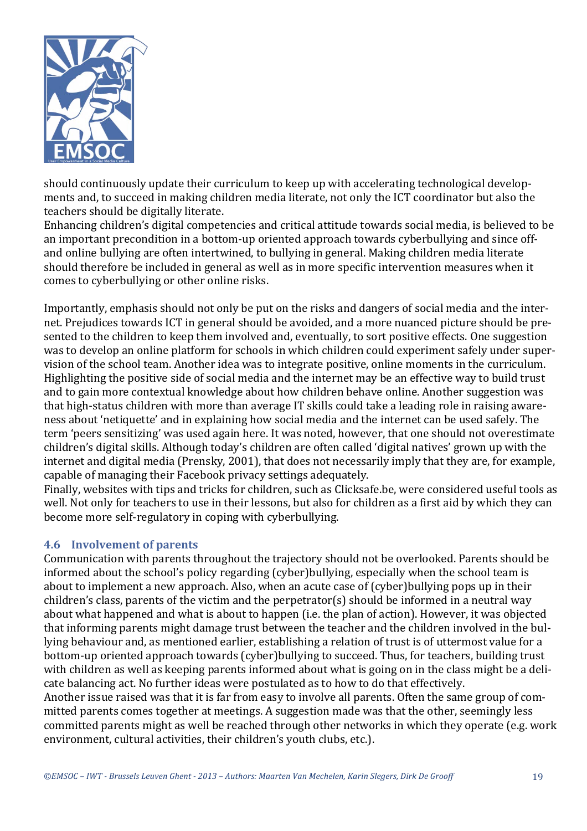

should continuously update their curriculum to keep up with accelerating technological developments and, to succeed in making children media literate, not only the ICT coordinator but also the teachers should be digitally literate.

Enhancing children's digital competencies and critical attitude towards social media, is believed to be an important precondition in a bottom-up oriented approach towards cyberbullying and since offand online bullying are often intertwined, to bullying in general. Making children media literate should therefore be included in general as well as in more specific intervention measures when it comes to cyberbullying or other online risks.

Importantly, emphasis should not only be put on the risks and dangers of social media and the internet. Prejudices towards ICT in general should be avoided, and a more nuanced picture should be presented to the children to keep them involved and, eventually, to sort positive effects. One suggestion was to develop an online platform for schools in which children could experiment safely under supervision of the school team. Another idea was to integrate positive, online moments in the curriculum. Highlighting the positive side of social media and the internet may be an effective way to build trust and to gain more contextual knowledge about how children behave online. Another suggestion was that high-status children with more than average IT skills could take a leading role in raising awareness about 'netiquette' and in explaining how social media and the internet can be used safely. The term 'peers sensitizing' was used again here. It was noted, however, that one should not overestimate children's digital skills. Although today's children are often called 'digital natives' grown up with the internet and digital media (Prensky, 2001), that does not necessarily imply that they are, for example, capable of managing their Facebook privacy settings adequately.

Finally, websites with tips and tricks for children, such as Clicksafe.be, were considered useful tools as well. Not only for teachers to use in their lessons, but also for children as a first aid by which they can become more self-regulatory in coping with cyberbullying.

#### **4.6** Involvement of parents

Communication with parents throughout the trajectory should not be overlooked. Parents should be informed about the school's policy regarding (cyber)bullying, especially when the school team is about to implement a new approach. Also, when an acute case of (cyber)bullying pops up in their children's class, parents of the victim and the perpetrator(s) should be informed in a neutral way about what happened and what is about to happen (i.e. the plan of action). However, it was objected that informing parents might damage trust between the teacher and the children involved in the bullying behaviour and, as mentioned earlier, establishing a relation of trust is of uttermost value for a bottom-up oriented approach towards (cyber)bullying to succeed. Thus, for teachers, building trust with children as well as keeping parents informed about what is going on in the class might be a delicate balancing act. No further ideas were postulated as to how to do that effectively.

Another issue raised was that it is far from easy to involve all parents. Often the same group of committed parents comes together at meetings. A suggestion made was that the other, seemingly less committed parents might as well be reached through other networks in which they operate (e.g. work environment, cultural activities, their children's youth clubs, etc.).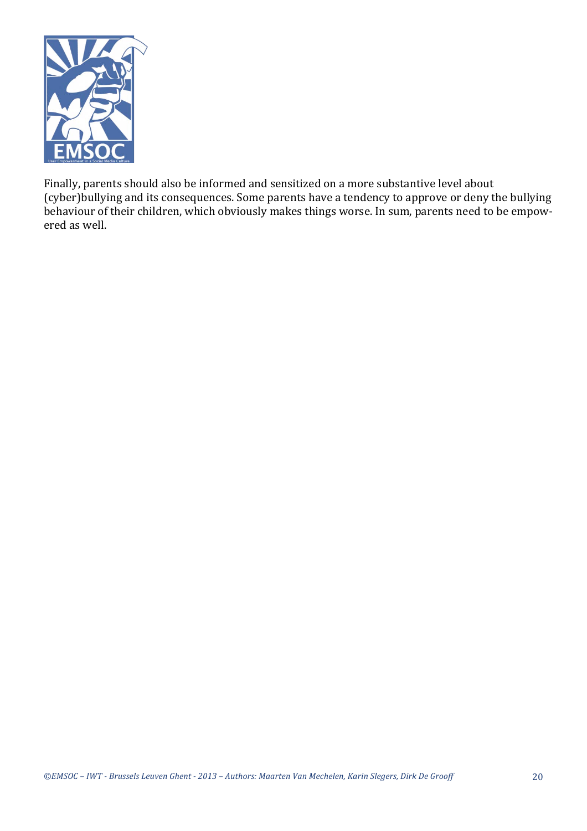

Finally, parents should also be informed and sensitized on a more substantive level about (cyber)bullying and its consequences. Some parents have a tendency to approve or deny the bullying behaviour of their children, which obviously makes things worse. In sum, parents need to be empowered as well.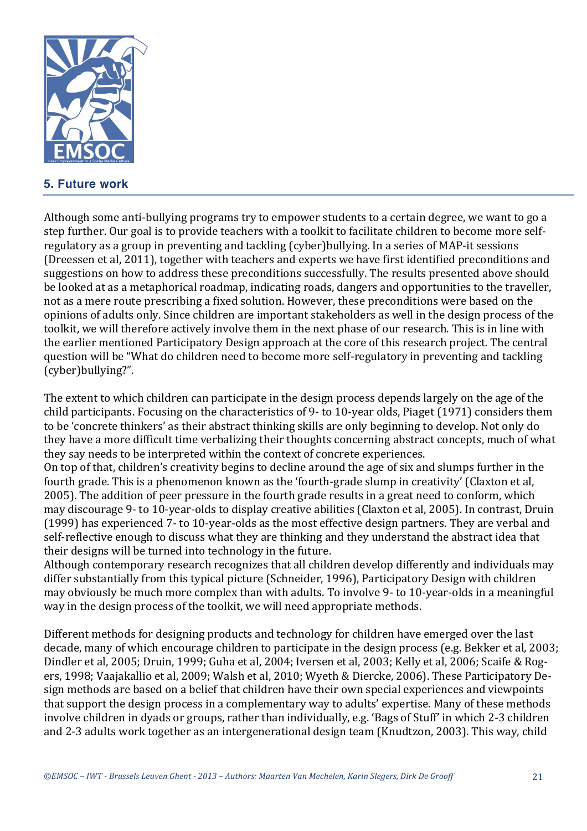

# **5. Future work**

Although some anti-bullying programs try to empower students to a certain degree, we want to go a step further. Our goal is to provide teachers with a toolkit to facilitate children to become more selfregulatory as a group in preventing and tackling (cyber)bullying. In a series of MAP-it sessions (Dreessen et al, 2011), together with teachers and experts we have first identified preconditions and suggestions on how to address these preconditions successfully. The results presented above should be looked at as a metaphorical roadmap, indicating roads, dangers and opportunities to the traveller, not as a mere route prescribing a fixed solution. However, these preconditions were based on the opinions of adults only. Since children are important stakeholders as well in the design process of the toolkit, we will therefore actively involve them in the next phase of our research. This is in line with the earlier mentioned Participatory Design approach at the core of this research project. The central question will be "What do children need to become more self-regulatory in preventing and tackling (cyber)bullying?".

The extent to which children can participate in the design process depends largely on the age of the child participants. Focusing on the characteristics of 9- to 10-year olds, Piaget (1971) considers them to be 'concrete thinkers' as their abstract thinking skills are only beginning to develop. Not only do they have a more difficult time verbalizing their thoughts concerning abstract concepts, much of what they say needs to be interpreted within the context of concrete experiences.

On top of that, children's creativity begins to decline around the age of six and slumps further in the fourth grade. This is a phenomenon known as the 'fourth-grade slump in creativity' (Claxton et al, 2005). The addition of peer pressure in the fourth grade results in a great need to conform, which may discourage 9- to 10-year-olds to display creative abilities (Claxton et al, 2005). In contrast, Druin (1999) has experienced 7- to 10-year-olds as the most effective design partners. They are verbal and self-reflective enough to discuss what they are thinking and they understand the abstract idea that their designs will be turned into technology in the future.

Although contemporary research recognizes that all children develop differently and individuals may differ substantially from this typical picture (Schneider, 1996), Participatory Design with children may obviously be much more complex than with adults. To involve 9- to 10-year-olds in a meaningful way in the design process of the toolkit, we will need appropriate methods.

Different methods for designing products and technology for children have emerged over the last decade, many of which encourage children to participate in the design process (e.g. Bekker et al, 2003; Dindler et al, 2005; Druin, 1999; Guha et al, 2004; Iversen et al, 2003; Kelly et al, 2006; Scaife & Rogers, 1998; Vaajakallio et al, 2009; Walsh et al, 2010; Wyeth & Diercke, 2006). These Participatory Design methods are based on a belief that children have their own special experiences and viewpoints that support the design process in a complementary way to adults' expertise. Many of these methods involve children in dyads or groups, rather than individually, e.g. 'Bags of Stuff' in which 2-3 children and 2-3 adults work together as an intergenerational design team (Knudtzon, 2003). This way, child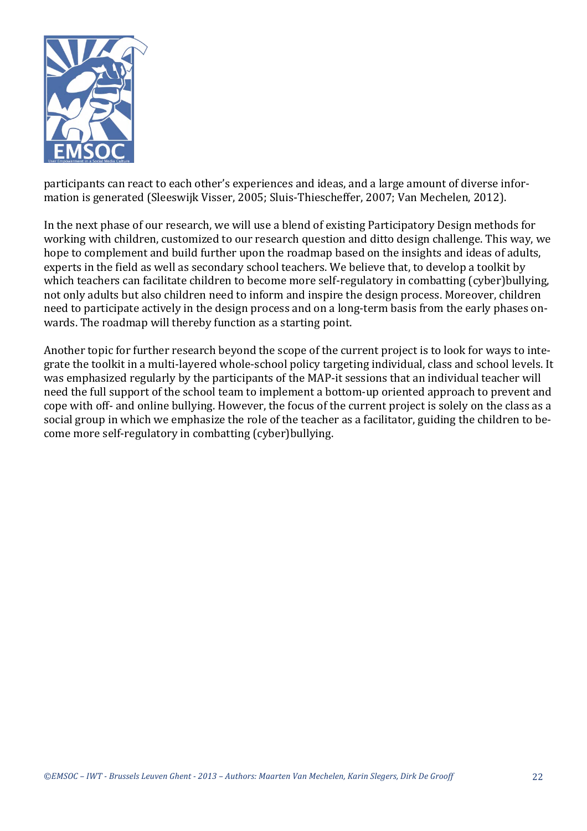

participants can react to each other's experiences and ideas, and a large amount of diverse information is generated (Sleeswijk Visser, 2005; Sluis-Thiescheffer, 2007; Van Mechelen, 2012).

In the next phase of our research, we will use a blend of existing Participatory Design methods for working with children, customized to our research question and ditto design challenge. This way, we hope to complement and build further upon the roadmap based on the insights and ideas of adults, experts in the field as well as secondary school teachers. We believe that, to develop a toolkit by which teachers can facilitate children to become more self-regulatory in combatting (cyber)bullying, not only adults but also children need to inform and inspire the design process. Moreover, children need to participate actively in the design process and on a long-term basis from the early phases onwards. The roadmap will thereby function as a starting point.

Another topic for further research beyond the scope of the current project is to look for ways to integrate the toolkit in a multi-layered whole-school policy targeting individual, class and school levels. It was emphasized regularly by the participants of the MAP-it sessions that an individual teacher will need the full support of the school team to implement a bottom-up oriented approach to prevent and cope with off- and online bullying. However, the focus of the current project is solely on the class as a social group in which we emphasize the role of the teacher as a facilitator, guiding the children to become more self-regulatory in combatting (cyber)bullying.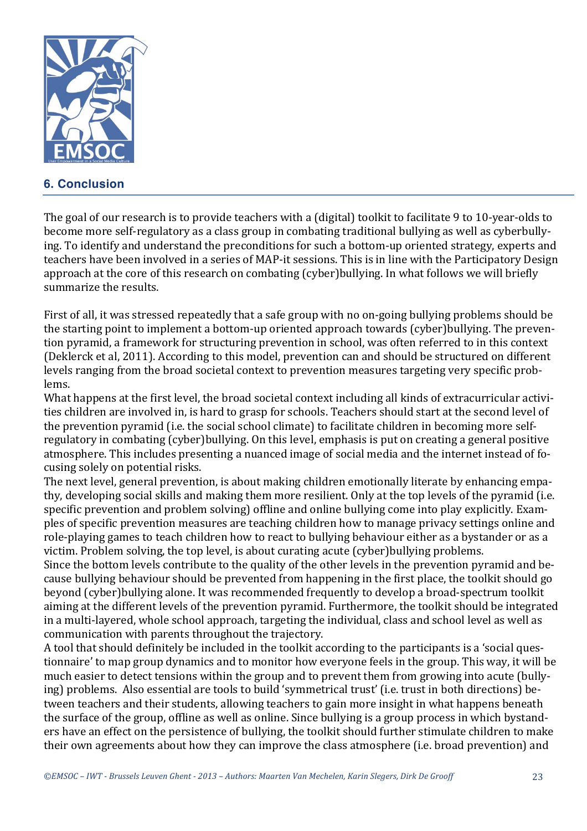

# **6. Conclusion**

The goal of our research is to provide teachers with a (digital) toolkit to facilitate 9 to 10-year-olds to become more self-regulatory as a class group in combating traditional bullying as well as cyberbullying. To identify and understand the preconditions for such a bottom-up oriented strategy, experts and teachers have been involved in a series of MAP-it sessions. This is in line with the Participatory Design approach at the core of this research on combating (cyber)bullying. In what follows we will briefly summarize the results.

First of all, it was stressed repeatedly that a safe group with no on-going bullying problems should be the starting point to implement a bottom-up oriented approach towards (cyber)bullying. The prevention pyramid, a framework for structuring prevention in school, was often referred to in this context (Deklerck et al, 2011). According to this model, prevention can and should be structured on different levels ranging from the broad societal context to prevention measures targeting very specific problems. 

What happens at the first level, the broad societal context including all kinds of extracurricular activities children are involved in, is hard to grasp for schools. Teachers should start at the second level of the prevention pyramid (i.e. the social school climate) to facilitate children in becoming more selfregulatory in combating (cyber)bullying. On this level, emphasis is put on creating a general positive atmosphere. This includes presenting a nuanced image of social media and the internet instead of focusing solely on potential risks.

The next level, general prevention, is about making children emotionally literate by enhancing empathy, developing social skills and making them more resilient. Only at the top levels of the pyramid (i.e. specific prevention and problem solving) offline and online bullying come into play explicitly. Examples of specific prevention measures are teaching children how to manage privacy settings online and role-playing games to teach children how to react to bullying behaviour either as a bystander or as a victim. Problem solving, the top level, is about curating acute (cyber)bullying problems.

Since the bottom levels contribute to the quality of the other levels in the prevention pyramid and because bullying behaviour should be prevented from happening in the first place, the toolkit should go beyond (cyber)bullying alone. It was recommended frequently to develop a broad-spectrum toolkit aiming at the different levels of the prevention pyramid. Furthermore, the toolkit should be integrated in a multi-layered, whole school approach, targeting the individual, class and school level as well as communication with parents throughout the trajectory.

A tool that should definitely be included in the toolkit according to the participants is a 'social questionnaire' to map group dynamics and to monitor how everyone feels in the group. This way, it will be much easier to detect tensions within the group and to prevent them from growing into acute (bullying) problems. Also essential are tools to build 'symmetrical trust' (i.e. trust in both directions) between teachers and their students, allowing teachers to gain more insight in what happens beneath the surface of the group, offline as well as online. Since bullying is a group process in which bystanders have an effect on the persistence of bullying, the toolkit should further stimulate children to make their own agreements about how they can improve the class atmosphere (i.e. broad prevention) and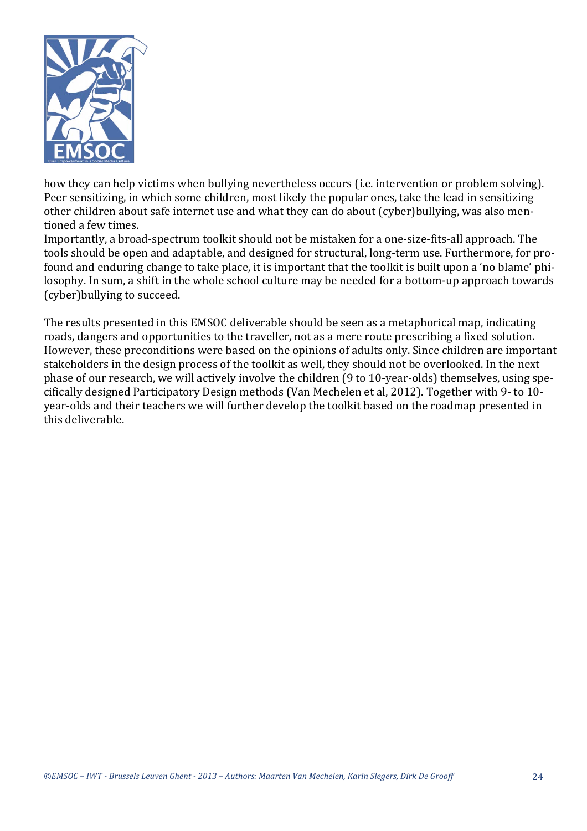

how they can help victims when bullying nevertheless occurs (i.e. intervention or problem solving). Peer sensitizing, in which some children, most likely the popular ones, take the lead in sensitizing other children about safe internet use and what they can do about (cyber)bullying, was also mentioned a few times.

Importantly, a broad-spectrum toolkit should not be mistaken for a one-size-fits-all approach. The tools should be open and adaptable, and designed for structural, long-term use. Furthermore, for profound and enduring change to take place, it is important that the toolkit is built upon a 'no blame' philosophy. In sum, a shift in the whole school culture may be needed for a bottom-up approach towards (cyber) bullying to succeed.

The results presented in this EMSOC deliverable should be seen as a metaphorical map, indicating roads, dangers and opportunities to the traveller, not as a mere route prescribing a fixed solution. However, these preconditions were based on the opinions of adults only. Since children are important stakeholders in the design process of the toolkit as well, they should not be overlooked. In the next phase of our research, we will actively involve the children (9 to 10-year-olds) themselves, using specifically designed Participatory Design methods (Van Mechelen et al, 2012). Together with 9- to 10year-olds and their teachers we will further develop the toolkit based on the roadmap presented in this deliverable.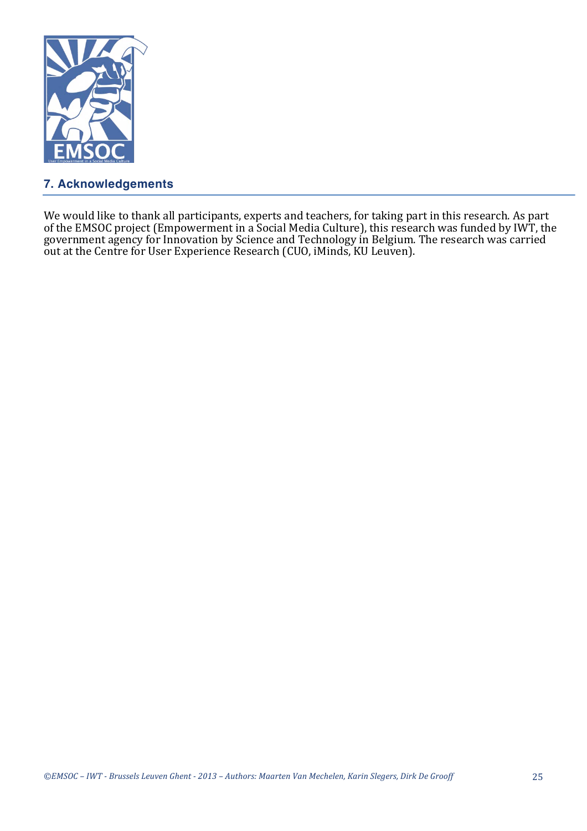

# **7. Acknowledgements**

We would like to thank all participants, experts and teachers, for taking part in this research. As part of the EMSOC project (Empowerment in a Social Media Culture), this research was funded by IWT, the government agency for Innovation by Science and Technology in Belgium. The research was carried out at the Centre for User Experience Research (CUO, iMinds, KU Leuven).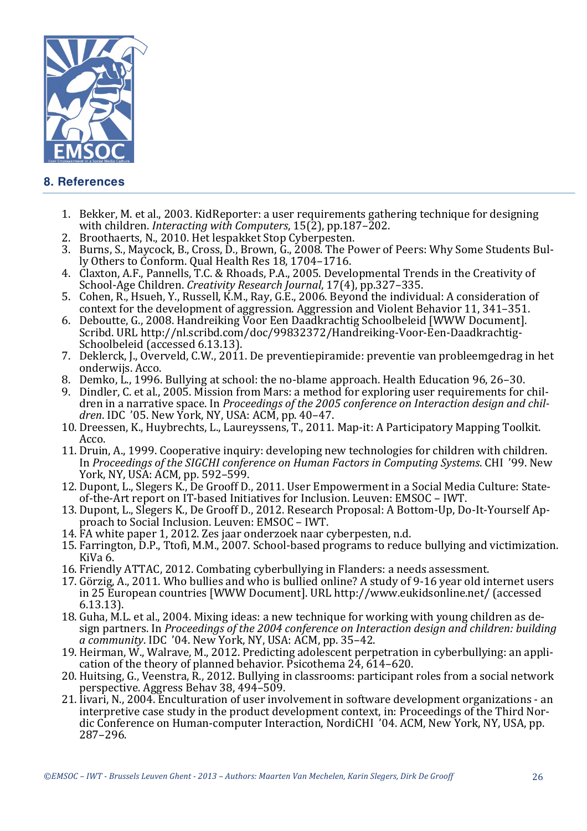

# **8. References**

- 1. Bekker, M. et al., 2003. KidReporter: a user requirements gathering technique for designing with children. *Interacting with Computers*, 15(2), pp.187–202.
- 2. Broothaerts, N., 2010. Het lespakket Stop Cyberpesten.
- 3. Burns, S., Maycock, B., Cross, D., Brown, G., 2008. The Power of Peers: Why Some Students Bully Others to Conform. Qual Health Res 18, 1704–1716.
- 4. Claxton, A.F., Pannells, T.C. & Rhoads, P.A., 2005. Developmental Trends in the Creativity of School-Age Children. *Creativity Research Journal*, 17(4), pp.327-335.
- 5. Cohen, R., Hsueh, Y., Russell, K.M., Ray, G.E., 2006. Beyond the individual: A consideration of context for the development of aggression. Aggression and Violent Behavior 11, 341–351.
- 6. Deboutte, G., 2008. Handreiking Voor Een Daadkrachtig Schoolbeleid [WWW Document]. Scribd. URL http://nl.scribd.com/doc/99832372/Handreiking-Voor-Een-Daadkrachtig-Schoolbeleid (accessed 6.13.13).
- 7. Deklerck, J., Overveld, C.W., 2011. De preventiepiramide: preventie van probleemgedrag in het onderwijs. Acco.
- 8. Demko, L., 1996. Bullying at school: the no-blame approach. Health Education 96, 26–30.
- 9. Dindler, C. et al., 2005. Mission from Mars: a method for exploring user requirements for children in a narrative space. In *Proceedings of the 2005 conference on Interaction design and children.* IDC '05. New York, NY, USA: ACM, pp. 40–47.
- 10. Dreessen, K., Huybrechts, L., Laureyssens, T., 2011. Map-it: A Participatory Mapping Toolkit. Acco.
- 11. Druin, A., 1999. Cooperative inquiry: developing new technologies for children with children. In *Proceedings of the SIGCHI conference on Human Factors in Computing Systems*. CHI '99. New York, NY, USA: ACM, pp. 592-599.
- 12. Dupont, L., Slegers K., De Grooff D., 2011. User Empowerment in a Social Media Culture: Stateof-the-Art report on IT-based Initiatives for Inclusion. Leuven: EMSOC - IWT.
- 13. Dupont, L., Slegers K., De Grooff D., 2012. Research Proposal: A Bottom-Up, Do-It-Yourself Approach to Social Inclusion. Leuven: EMSOC - IWT.
- 14. FA white paper 1, 2012. Zes jaar onderzoek naar cyberpesten, n.d.
- 15. Farrington, D.P., Ttofi, M.M., 2007. School-based programs to reduce bullying and victimization. KiVa 6.
- 16. Friendly ATTAC, 2012. Combating cyberbullying in Flanders: a needs assessment.
- 17. Görzig, A., 2011. Who bullies and who is bullied online? A study of 9-16 year old internet users in 25 European countries [WWW Document]. URL http://www.eukidsonline.net/ (accessed 6.13.13).
- 18. Guha, M.L. et al., 2004. Mixing ideas: a new technique for working with young children as design partners. In *Proceedings of the 2004 conference on Interaction design and children: building a community*. IDC '04. New York, NY, USA: ACM, pp. 35-42.
- 19. Heirman, W., Walrave, M., 2012. Predicting adolescent perpetration in cyberbullying: an application of the theory of planned behavior. Psicothema  $24, 614-620$ .
- 20. Huitsing, G., Veenstra, R., 2012. Bullying in classrooms: participant roles from a social network perspective. Aggress Behav 38, 494–509.
- 21. Iivari, N., 2004. Enculturation of user involvement in software development organizations an interpretive case study in the product development context, in: Proceedings of the Third Nordic Conference on Human-computer Interaction, NordiCHI '04. ACM, New York, NY, USA, pp. 287–296.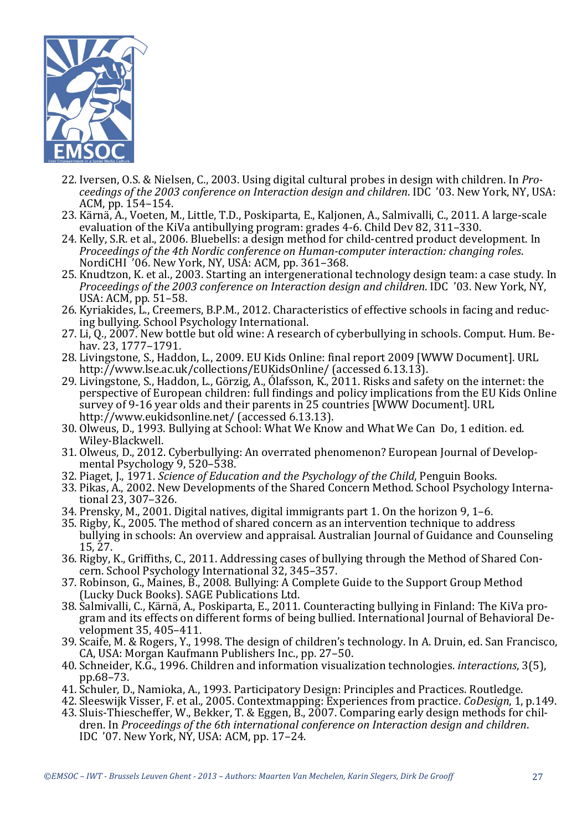

- 22. Iversen, O.S. & Nielsen, C., 2003. Using digital cultural probes in design with children. In *Proceedings of the 2003 conference on Interaction design and children.* IDC '03. New York, NY, USA: ACM, pp. 154-154.
- 23. Kärnä, A., Voeten, M., Little, T.D., Poskiparta, E., Kalionen, A., Salmivalli, C., 2011. A large-scale evaluation of the KiVa antibullying program: grades  $4-6$ . Child Dev 82, 311–330.
- 24. Kelly, S.R. et al., 2006. Bluebells: a design method for child-centred product development. In *Proceedings of the 4th Nordic conference on Human-computer interaction: changing roles.* NordiCHI '06. New York, NY, USA: ACM, pp. 361–368.
- 25. Knudtzon, K. et al., 2003. Starting an intergenerational technology design team: a case study. In *Proceedings of the 2003 conference on Interaction design and children.* IDC '03. New York, NY, USA: ACM, pp. 51-58.
- 26. Kyriakides, L., Creemers, B.P.M., 2012. Characteristics of effective schools in facing and reducing bullying. School Psychology International.
- $27.$  Li, Q.,  $2007$ . New bottle but old wine: A research of cyberbullying in schools. Comput. Hum. Behav. 23, 1777–1791.
- 28. Livingstone, S., Haddon, L., 2009. EU Kids Online: final report 2009 [WWW Document]. URL http://www.lse.ac.uk/collections/EUKidsOnline/ (accessed 6.13.13).
- 29. Livingstone, S., Haddon, L., Görzig, A., Ólafsson, K., 2011. Risks and safety on the internet: the perspective of European children: full findings and policy implications from the EU Kids Online survey of 9-16 year olds and their parents in 25 countries [WWW Document]. URL http://www.eukidsonline.net/ (accessed 6.13.13).
- 30. Olweus, D., 1993. Bullying at School: What We Know and What We Can Do, 1 edition, ed. Wiley-Blackwell.
- 31. Olweus, D., 2012. Cyberbullying: An overrated phenomenon? European Journal of Developmental Psychology 9, 520–538.
- 32. Piaget, J., 1971. *Science of Education and the Psychology of the Child*, Penguin Books.
- 33. Pikas, A., 2002. New Developments of the Shared Concern Method. School Psychology International 23, 307-326.
- 34. Prensky, M., 2001. Digital natives, digital immigrants part 1. On the horizon 9,  $1-6$ .
- 35. Rigby, K., 2005. The method of shared concern as an intervention technique to address bullying in schools: An overview and appraisal. Australian Journal of Guidance and Counseling 15, 27.
- 36. Rigby, K., Griffiths, C., 2011. Addressing cases of bullying through the Method of Shared Concern. School Psychology International 32, 345-357.
- 37. Robinson, G., Maines, B., 2008. Bullying: A Complete Guide to the Support Group Method (Lucky Duck Books). SAGE Publications Ltd.
- 38. Salmivalli, C., Kärnä, A., Poskiparta, E., 2011. Counteracting bullying in Finland: The KiVa program and its effects on different forms of being bullied. International Journal of Behavioral Development 35, 405-411.
- 39. Scaife, M. & Rogers, Y., 1998. The design of children's technology. In A. Druin, ed. San Francisco, CA, USA: Morgan Kaufmann Publishers Inc., pp. 27–50.
- 40. Schneider, K.G., 1996. Children and information visualization technologies. *interactions*, 3(5), pp.68–73.
- 41. Schuler, D., Namioka, A., 1993. Participatory Design: Principles and Practices. Routledge.
- 42. Sleeswijk Visser, F. et al., 2005. Contextmapping: Experiences from practice. *CoDesign*, 1, p.149.
- 43. Sluis-Thiescheffer, W., Bekker, T. & Eggen, B., 2007. Comparing early design methods for children. In *Proceedings of the 6th international conference on Interaction design and children.* IDC  $'07.$  New York, NY, USA: ACM, pp. 17–24.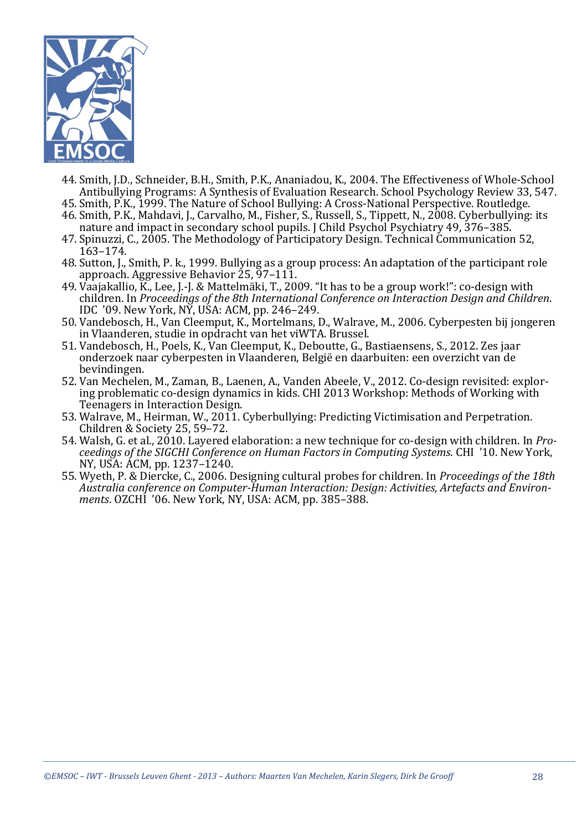

- 44. Smith, I.D., Schneider, B.H., Smith, P.K., Ananiadou, K., 2004. The Effectiveness of Whole-School Antibullying Programs: A Synthesis of Evaluation Research. School Psychology Review 33, 547.
- 45. Smith, P.K., 1999. The Nature of School Bullying: A Cross-National Perspective. Routledge. 46. Smith, P.K., Mahdavi, J., Carvalho, M., Fisher, S., Russell, S., Tippett, N., 2008. Cyberbullying: its
- nature and impact in secondary school pupils. I Child Psychol Psychiatry 49, 376–385.
- 47. Spinuzzi, C., 2005. The Methodology of Participatory Design. Technical Communication 52, 163–174.
- 48. Sutton, J., Smith, P. k., 1999. Bullying as a group process: An adaptation of the participant role approach. Aggressive Behavior 25, 97-111.
- 49. Vaajakallio, K., Lee, J.-J. & Mattelmäki, T., 2009. "It has to be a group work!": co-design with children. In *Proceedings of the 8th International Conference on Interaction Design and Children.* IDC '09. New York, NY, USA: ACM, pp. 246–249.
- 50. Vandebosch, H., Van Cleemput, K., Mortelmans, D., Walrave, M., 2006. Cyberpesten bij jongeren in Vlaanderen, studie in opdracht van het viWTA. Brussel.
- 51. Vandebosch, H., Poels, K., Van Cleemput, K., Deboutte, G., Bastiaensens, S., 2012. Zes jaar onderzoek naar cyberpesten in Vlaanderen, België en daarbuiten: een overzicht van de bevindingen.
- 52. Van Mechelen, M., Zaman, B., Laenen, A., Vanden Abeele, V., 2012. Co-design revisited: exploring problematic co-design dynamics in kids. CHI 2013 Workshop: Methods of Working with Teenagers in Interaction Design.
- 53. Walrave, M., Heirman, W., 2011. Cyberbullying: Predicting Victimisation and Perpetration. Children & Society 25, 59-72.
- 54. Walsh, G. et al., 2010. Layered elaboration: a new technique for co-design with children. In *Proceedings of the SIGCHI Conference on Human Factors in Computing Systems.* CHI '10. New York, NY, USA: ACM, pp. 1237–1240.
- 55. Wyeth, P. & Diercke, C., 2006. Designing cultural probes for children. In *Proceedings of the 18th* Australia conference on Computer-Human Interaction: Design: Activities, Artefacts and Environ*ments*. OZCHI '06. New York, NY, USA: ACM, pp. 385-388.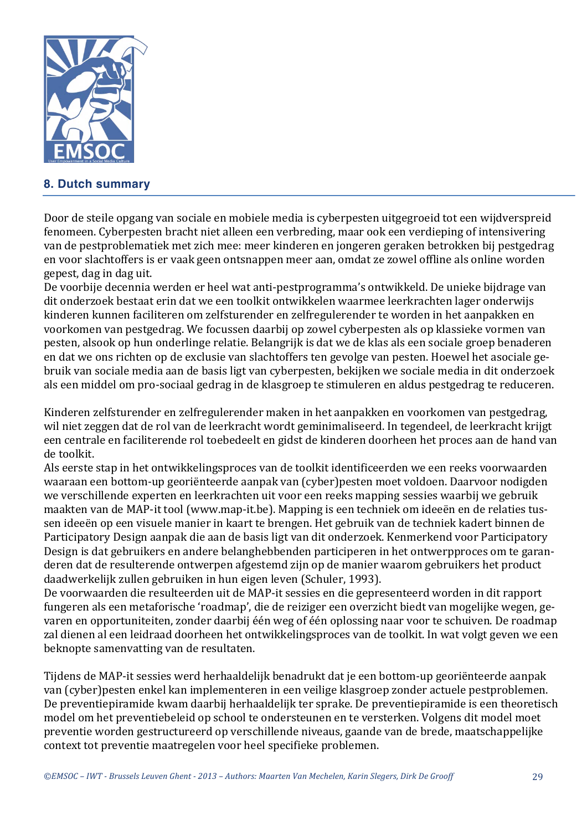

# **8. Dutch summary**

Door de steile opgang van sociale en mobiele media is cyberpesten uitgegroeid tot een wijdverspreid fenomeen. Cyberpesten bracht niet alleen een verbreding, maar ook een verdieping of intensivering van de pestproblematiek met zich mee: meer kinderen en jongeren geraken betrokken bij pestgedrag en voor slachtoffers is er vaak geen ontsnappen meer aan, omdat ze zowel offline als online worden gepest, dag in dag uit.

De voorbije decennia werden er heel wat anti-pestprogramma's ontwikkeld. De unieke bijdrage van dit onderzoek bestaat erin dat we een toolkit ontwikkelen waarmee leerkrachten lager onderwijs kinderen kunnen faciliteren om zelfsturender en zelfregulerender te worden in het aanpakken en voorkomen van pestgedrag. We focussen daarbij op zowel cyberpesten als op klassieke vormen van pesten, alsook op hun onderlinge relatie. Belangrijk is dat we de klas als een sociale groep benaderen en dat we ons richten op de exclusie van slachtoffers ten gevolge van pesten. Hoewel het asociale gebruik van sociale media aan de basis ligt van cyberpesten, bekijken we sociale media in dit onderzoek als een middel om pro-sociaal gedrag in de klasgroep te stimuleren en aldus pestgedrag te reduceren.

Kinderen zelfsturender en zelfregulerender maken in het aanpakken en voorkomen van pestgedrag, wil niet zeggen dat de rol van de leerkracht wordt geminimaliseerd. In tegendeel, de leerkracht krijgt een centrale en faciliterende rol toebedeelt en gidst de kinderen doorheen het proces aan de hand van de toolkit.

Als eerste stap in het ontwikkelingsproces van de toolkit identificeerden we een reeks voorwaarden waaraan een bottom-up georiënteerde aanpak van (cyber)pesten moet voldoen. Daarvoor nodigden we verschillende experten en leerkrachten uit voor een reeks mapping sessies waarbij we gebruik maakten van de MAP-it tool (www.map-it.be). Mapping is een techniek om ideeën en de relaties tussen ideeën op een visuele manier in kaart te brengen. Het gebruik van de techniek kadert binnen de Participatory Design aanpak die aan de basis ligt van dit onderzoek. Kenmerkend voor Participatory Design is dat gebruikers en andere belanghebbenden participeren in het ontwerpproces om te garanderen dat de resulterende ontwerpen afgestemd zijn op de manier waarom gebruikers het product daadwerkelijk zullen gebruiken in hun eigen leven (Schuler, 1993).

De voorwaarden die resulteerden uit de MAP-it sessies en die gepresenteerd worden in dit rapport fungeren als een metaforische 'roadmap', die de reiziger een overzicht biedt van mogelijke wegen, gevaren en opportuniteiten, zonder daarbij één weg of één oplossing naar voor te schuiven. De roadmap zal dienen al een leidraad doorheen het ontwikkelingsproces van de toolkit. In wat volgt geven we een beknopte samenvatting van de resultaten.

Tijdens de MAP-it sessies werd herhaaldelijk benadrukt dat je een bottom-up georiënteerde aanpak van (cyber)pesten enkel kan implementeren in een veilige klasgroep zonder actuele pestproblemen. De preventiepiramide kwam daarbij herhaaldelijk ter sprake. De preventiepiramide is een theoretisch model om het preventiebeleid op school te ondersteunen en te versterken. Volgens dit model moet preventie worden gestructureerd op verschillende niveaus, gaande van de brede, maatschappelijke context tot preventie maatregelen voor heel specifieke problemen.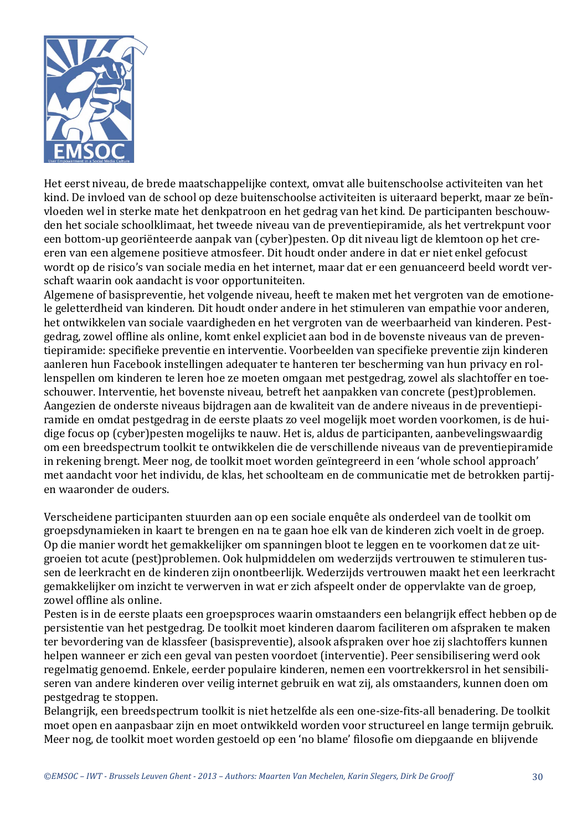

Het eerst niveau, de brede maatschappelijke context, omvat alle buitenschoolse activiteiten van het kind. De invloed van de school op deze buitenschoolse activiteiten is uiteraard beperkt, maar ze beïnvloeden wel in sterke mate het denkpatroon en het gedrag van het kind. De participanten beschouwden het sociale schoolklimaat, het tweede niveau van de preventiepiramide, als het vertrekpunt voor een bottom-up georiënteerde aanpak van (cyber)pesten. Op dit niveau ligt de klemtoon op het creeren van een algemene positieve atmosfeer. Dit houdt onder andere in dat er niet enkel gefocust wordt op de risico's van sociale media en het internet, maar dat er een genuanceerd beeld wordt verschaft waarin ook aandacht is voor opportuniteiten.

Algemene of basispreventie, het volgende niveau, heeft te maken met het vergroten van de emotionele geletterdheid van kinderen. Dit houdt onder andere in het stimuleren van empathie voor anderen, het ontwikkelen van sociale vaardigheden en het vergroten van de weerbaarheid van kinderen. Pestgedrag, zowel offline als online, komt enkel expliciet aan bod in de bovenste niveaus van de preventiepiramide: specifieke preventie en interventie. Voorbeelden van specifieke preventie zijn kinderen aanleren hun Facebook instellingen adequater te hanteren ter bescherming van hun privacy en rollenspellen om kinderen te leren hoe ze moeten omgaan met pestgedrag, zowel als slachtoffer en toeschouwer. Interventie, het bovenste niveau, betreft het aanpakken van concrete (pest)problemen. Aangezien de onderste niveaus bijdragen aan de kwaliteit van de andere niveaus in de preventiepiramide en omdat pestgedrag in de eerste plaats zo veel mogelijk moet worden voorkomen, is de huidige focus op (cyber)pesten mogelijks te nauw. Het is, aldus de participanten, aanbevelingswaardig om een breedspectrum toolkit te ontwikkelen die de verschillende niveaus van de preventiepiramide in rekening brengt. Meer nog, de toolkit moet worden geïntegreerd in een 'whole school approach' met aandacht voor het individu, de klas, het schoolteam en de communicatie met de betrokken partijen waaronder de ouders.

Verscheidene participanten stuurden aan op een sociale enquête als onderdeel van de toolkit om groepsdynamieken in kaart te brengen en na te gaan hoe elk van de kinderen zich voelt in de groep. Op die manier wordt het gemakkelijker om spanningen bloot te leggen en te voorkomen dat ze uitgroeien tot acute (pest)problemen. Ook hulpmiddelen om wederzijds vertrouwen te stimuleren tussen de leerkracht en de kinderen zijn onontbeerlijk. Wederzijds vertrouwen maakt het een leerkracht gemakkelijker om inzicht te verwerven in wat er zich afspeelt onder de oppervlakte van de groep, zowel offline als online.

Pesten is in de eerste plaats een groepsproces waarin omstaanders een belangrijk effect hebben op de persistentie van het pestgedrag. De toolkit moet kinderen daarom faciliteren om afspraken te maken ter bevordering van de klassfeer (basispreventie), alsook afspraken over hoe zij slachtoffers kunnen helpen wanneer er zich een geval van pesten voordoet (interventie). Peer sensibilisering werd ook regelmatig genoemd. Enkele, eerder populaire kinderen, nemen een voortrekkersrol in het sensibiliseren van andere kinderen over veilig internet gebruik en wat zij, als omstaanders, kunnen doen om pestgedrag te stoppen.

Belangrijk, een breedspectrum toolkit is niet hetzelfde als een one-size-fits-all benadering. De toolkit moet open en aanpasbaar zijn en moet ontwikkeld worden voor structureel en lange termijn gebruik. Meer nog, de toolkit moet worden gestoeld op een 'no blame' filosofie om diepgaande en blijvende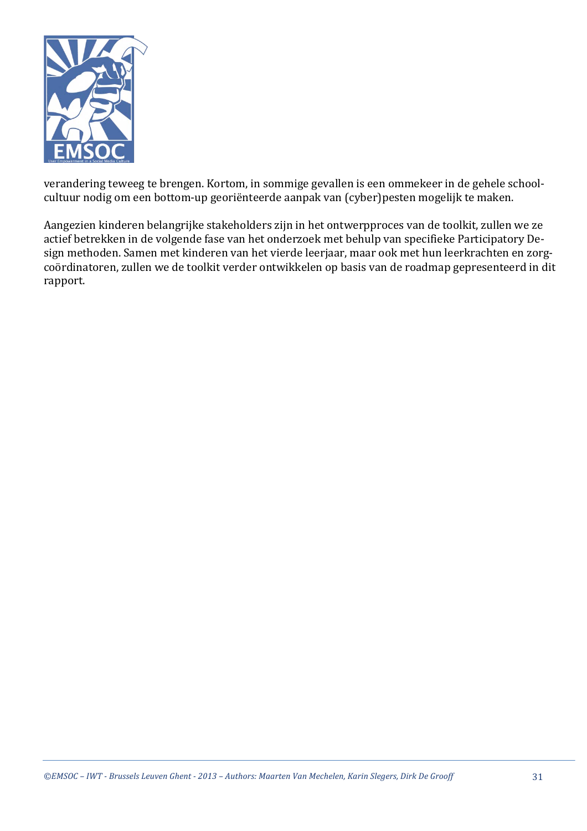

verandering teweeg te brengen. Kortom, in sommige gevallen is een ommekeer in de gehele schoolcultuur nodig om een bottom-up georiënteerde aanpak van (cyber)pesten mogelijk te maken.

Aangezien kinderen belangrijke stakeholders zijn in het ontwerpproces van de toolkit, zullen we ze actief betrekken in de volgende fase van het onderzoek met behulp van specifieke Participatory Design methoden. Samen met kinderen van het vierde leerjaar, maar ook met hun leerkrachten en zorgcoördinatoren, zullen we de toolkit verder ontwikkelen op basis van de roadmap gepresenteerd in dit rapport.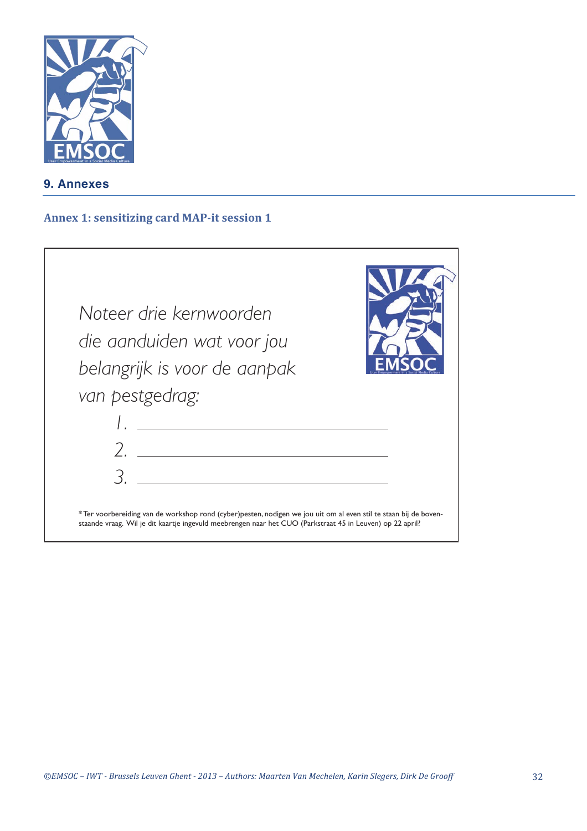

**9. Annexes**

#### **Annex 1: sensitizing card MAP-it session 1**

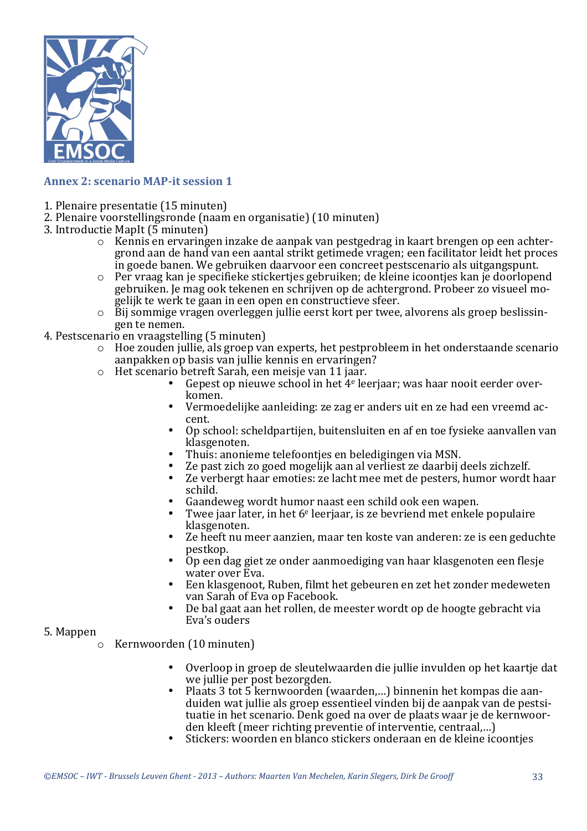

# **Annex 2: scenario MAP-it session 1**

- 1. Plenaire presentatie (15 minuten)
- 2. Plenaire voorstellingsronde (naam en organisatie) (10 minuten)
- 3. Introductie MapIt (5 minuten)
	- $\circ$  Kennis en ervaringen inzake de aanpak van pestgedrag in kaart brengen op een achtergrond aan de hand van een aantal strikt getimede vragen; een facilitator leidt het proces  $\overline{\text{in}}$  goede banen. We gebruiken daarvoor een concreet pestscenario als uitgangspunt.
	- $\circ$  Per vraag kan je specifieke stickerties gebruiken; de kleine icoonties kan je doorlopend gebruiken. Ie mag ook tekenen en schrijven op de achtergrond. Probeer zo visueel mogelijk te werk te gaan in een open en constructieve sfeer.
	- $\circ$  Bij sommige vragen overleggen jullie eerst kort per twee, alvorens als groep beslissingen te nemen.
- 4. Pestscenario en vraagstelling (5 minuten)
	- $\circ$  Hoe zouden jullie, als groep van experts, het pestprobleem in het onderstaande scenario aanpakken op basis van jullie kennis en ervaringen?
	- $\circ$  Het scenario betreft Sarah, een meisje van 11 jaar.
		- Gepest op nieuwe school in het  $4e$  leerjaar; was haar nooit eerder overkomen.
		- Vermoedelijke aanleiding: ze zag er anders uit en ze had een vreemd accent.
		- Op school: scheldpartijen, buitensluiten en af en toe fysieke aanvallen van klasgenoten.
		- Thuis: anonieme telefoonties en beledigingen via MSN.
		- Ze past zich zo goed mogelijk aan al verliest ze daarbij deels zichzelf.<br>• Ze verbergt haar emoties: ze lacht mee met de nesters, humor wordt.
		- Ze verbergt haar emoties: ze lacht mee met de pesters, humor wordt haar schild.
		- Gaandeweg wordt humor naast een schild ook een wapen.
		- Twee jaar later, in het  $6^e$  leerjaar, is ze bevriend met enkele populaire klasgenoten.
		- Ze heeft nu meer aanzien, maar ten koste van anderen: ze is een geduchte pestkop.
		- Op een dag giet ze onder aanmoediging van haar klasgenoten een flesie water over Eva.
		- Een klasgenoot, Ruben, filmt het gebeuren en zet het zonder medeweten van Sarah of Eva op Facebook.
		- De bal gaat aan het rollen, de meester wordt op de hoogte gebracht via Eva's ouders

#### 5. Mappen

- $\circ$  Kernwoorden (10 minuten)
	- Overloop in groep de sleutelwaarden die jullie invulden op het kaartie dat we jullie per post bezorgden.
	- Plaats 3 tot 5 kernwoorden (waarden,...) binnenin het kompas die aanduiden wat jullie als groep essentieel vinden bij de aanpak van de pestsituatie in het scenario. Denk goed na over de plaats waar je de kernwoorden kleeft (meer richting preventie of interventie, centraal,...)
	- Stickers: woorden en blanco stickers onderaan en de kleine icoontjes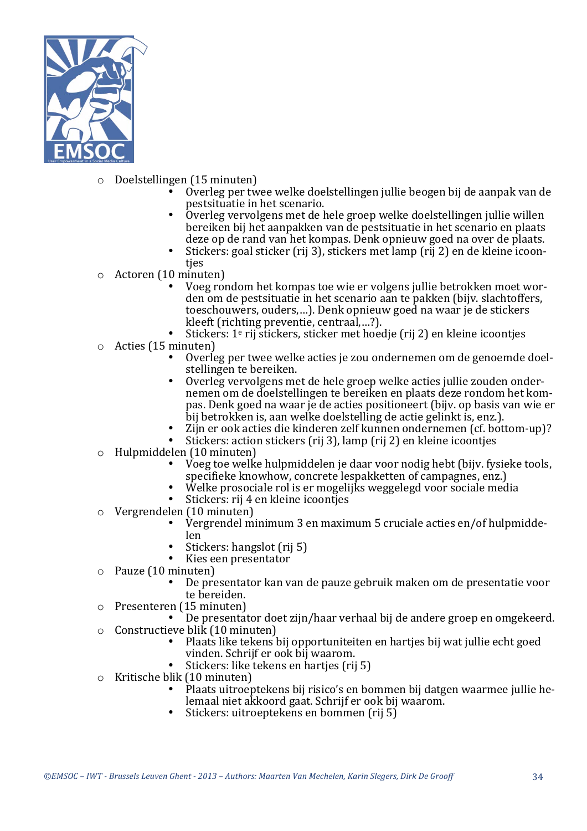

- $\circ$  Doelstellingen (15 minuten)
	- Overleg per twee welke doelstellingen jullie beogen bij de aanpak van de pestsituatie in het scenario.
	- Overleg vervolgens met de hele groep welke doelstellingen jullie willen bereiken bij het aanpakken van de pestsituatie in het scenario en plaats deze op de rand van het kompas. Denk opnieuw goed na over de plaats.
	- Stickers: goal sticker (rij 3), stickers met lamp (rij 2) en de kleine icoontjes
- $\circ$  Actoren (10 minuten)
	- Voeg rondom het kompas toe wie er volgens jullie betrokken moet wor $den$  om de pestsituatie in het scenario aan te pakken (bijv. slachtoffers, toeschouwers, ouders,...). Denk opnieuw goed na waar je de stickers kleeft (richting preventie, centraal,...?).
	- Stickers:  $1^e$  rij stickers, sticker met hoedie (rij 2) en kleine icoonties
- Acties (15 minuten)
	- Overleg per twee welke acties ie zou ondernemen om de genoemde doelstellingen te bereiken.
	- Overleg vervolgens met de hele groep welke acties jullie zouden ondernemen om de doelstellingen te bereiken en plaats deze rondom het kompas. Denk goed na waar je de acties positioneert (bijv. op basis van wie er bij betrokken is, aan welke doelstelling de actie gelinkt is, enz.).
	- Zijn er ook acties die kinderen zelf kunnen ondernemen (cf. bottom-up)?
	- Stickers: action stickers (rij 3), lamp (rij 2) en kleine icoontjes
- $\circ$  Hulpmiddelen (10 minuten)
	- Voeg toe welke hulpmiddelen je daar voor nodig hebt (bijv. fysieke tools, specifieke knowhow, concrete lespakketten of campagnes, enz.)
	- Welke prosociale rol is er mogelijks weggelegd voor sociale media
	- Stickers: rij 4 en kleine icoontjes
- Vergrendelen (10 minuten)
	- Vergrendel minimum 3 en maximum 5 cruciale acties en/of hulpmiddelen
	- Stickers: hangslot (rij 5)
	- Kies een presentator
- $\circ$  Pauze (10 minuten)
	- De presentator kan van de pauze gebruik maken om de presentatie voor te bereiden.
- $\circ$  Presenteren (15 minuten)
- De presentator doet zijn/haar verhaal bij de andere groep en omgekeerd.
- $\circ$  Constructieve blik  $(10 \text{ minuten})$ 
	- Plaats like tekens bij opportuniteiten en hartjes bij wat jullie echt goed vinden. Schrijf er ook bij waarom.
	- Stickers: like tekens en hartjes (rij 5)
- Kritische blik (10 minuten)
	- Plaats uitroeptekens bij risico's en bommen bij datgen waarmee jullie helemaal niet akkoord gaat. Schrijf er ook bij waarom.
	- Stickers: uitroeptekens en bommen (rij 5)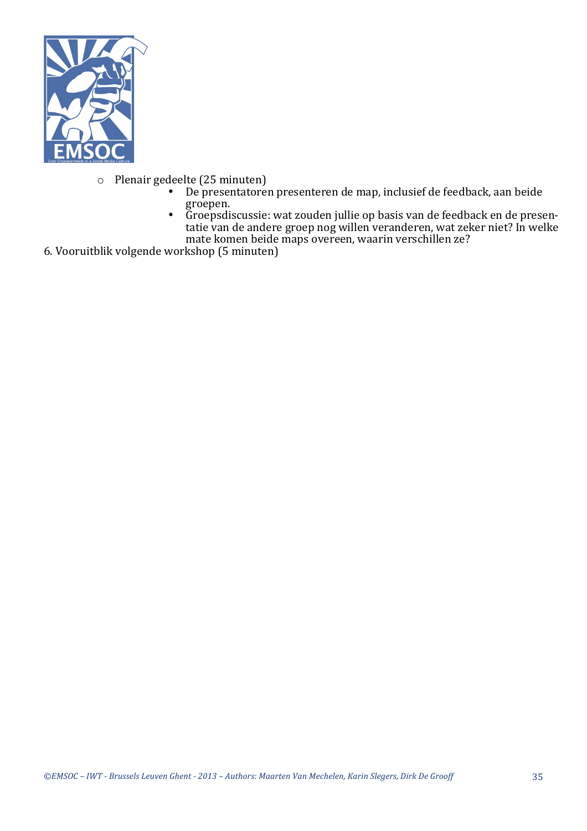

- $\circ$  Plenair gedeelte (25 minuten)<br>  $\bullet$  De presentatore
	- be presentatoren presenteren de map, inclusief de feedback, aan beide groepen.
	- Groepsdiscussie: wat zouden jullie op basis van de feedback en de presentatie van de andere groep nog willen veranderen, wat zeker niet? In welke mate komen beide maps overeen, waarin verschillen ze?
- 6. Vooruitblik volgende workshop (5 minuten)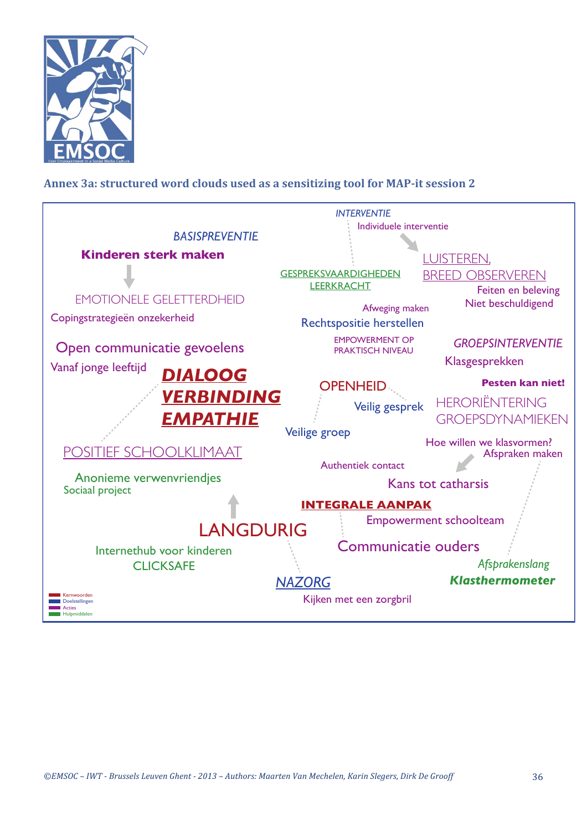

# Annex 3a: structured word clouds used as a sensitizing tool for MAP-it session 2

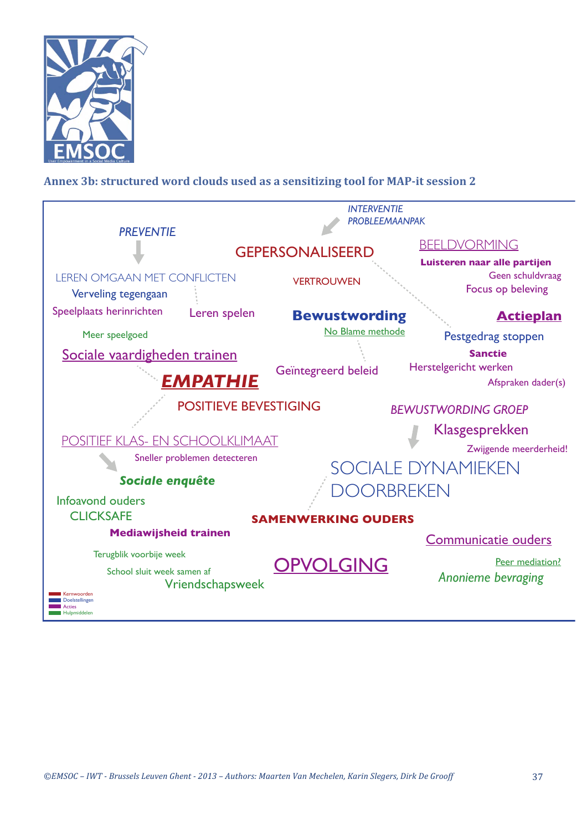

# Annex 3b: structured word clouds used as a sensitizing tool for MAP-it session 2

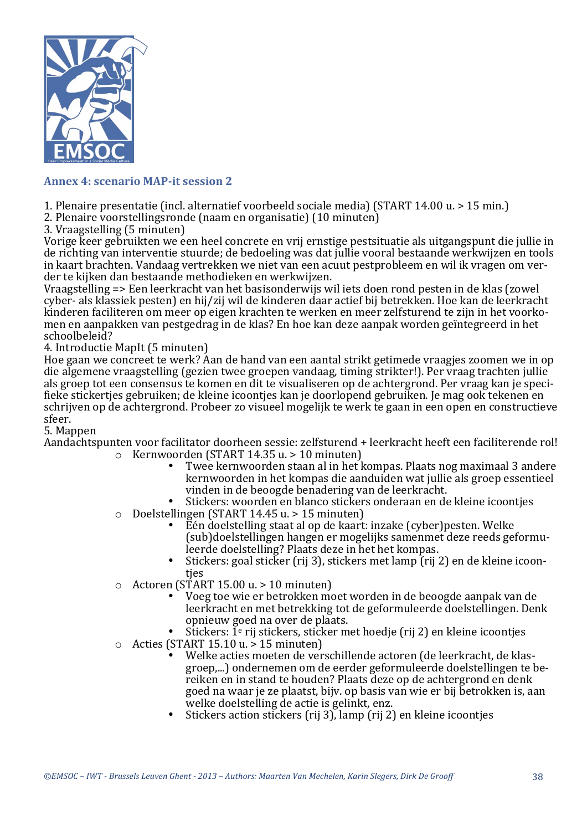

#### **Annex 4: scenario MAP-it session 2**

- 1. Plenaire presentatie (incl. alternatief voorbeeld sociale media) (START 14.00 u. > 15 min.)
- 2. Plenaire voorstellingsronde (naam en organisatie) (10 minuten)
- 3. Vraagstelling (5 minuten)

Vorige keer gebruikten we een heel concrete en vrij ernstige pestsituatie als uitgangspunt die jullie in de richting van interventie stuurde; de bedoeling was dat jullie vooral bestaande werkwijzen en tools in kaart brachten. Vandaag vertrekken we niet van een acuut pestprobleem en wil ik vragen om verder te kijken dan bestaande methodieken en werkwijzen.

Vraagstelling => Een leerkracht van het basisonderwijs wil iets doen rond pesten in de klas (zowel cyber- als klassiek pesten) en hij/zij wil de kinderen daar actief bij betrekken. Hoe kan de leerkracht kinderen faciliteren om meer op eigen krachten te werken en meer zelfsturend te zijn in het voorkomen en aanpakken van pestgedrag in de klas? En hoe kan deze aanpak worden geïntegreerd in het schoolbeleid?

#### 4. Introductie MapIt (5 minuten)

Hoe gaan we concreet te werk? Aan de hand van een aantal strikt getimede vraagjes zoomen we in op die algemene vraagstelling (gezien twee groepen vandaag, timing strikter!). Per vraag trachten jullie als groep tot een consensus te komen en dit te visualiseren op de achtergrond. Per vraag kan je specifieke stickerties gebruiken; de kleine icoonties kan je doorlopend gebruiken. Je mag ook tekenen en schrijven op de achtergrond. Probeer zo visueel mogelijk te werk te gaan in een open en constructieve sfeer.

#### 5. Mappen

Aandachtspunten voor facilitator doorheen sessie: zelfsturend + leerkracht heeft een faciliterende rol!  $\circ$  Kernwoorden (START 14.35 u. > 10 minuten)

- Twee kernwoorden staan al in het kompas. Plaats nog maximaal 3 andere kernwoorden in het kompas die aanduiden wat jullie als groep essentieel vinden in de beoogde benadering van de leerkracht.
- Stickers: woorden en blanco stickers onderaan en de kleine icoonties
- $\circ$  Doelstellingen (START 14.45 u. > 15 minuten)
	- Eén doelstelling staat al op de kaart: inzake (cyber)pesten. Welke (sub)doelstellingen hangen er mogelijks samenmet deze reeds geformuleerde doelstelling? Plaats deze in het het kompas.
	- Stickers: goal sticker (rij 3), stickers met lamp  $(rii 2)$  en de kleine icoontjes
- $\circ$  Actoren (START 15.00 u. > 10 minuten)
	- Voeg toe wie er betrokken moet worden in de beoogde aanpak van de leerkracht en met betrekking tot de geformuleerde doelstellingen. Denk opnieuw goed na over de plaats.
	- Stickers:  $\tilde{1}^e$  rij stickers, sticker met hoedie (rij 2) en kleine icoonties
- $\circ$  Acties (START 15.10 u. > 15 minuten)
	- Welke acties moeten de verschillende actoren (de leerkracht, de klasgroep,...) ondernemen om de eerder geformuleerde doelstellingen te bereiken en in stand te houden? Plaats deze op de achtergrond en denk goed na waar ie ze plaatst, bijv. op basis van wie er bij betrokken is, aan welke doelstelling de actie is gelinkt, enz.
	- Stickers action stickers  $(rii 3)$ , lamp  $(rii 2)$  en kleine icoontjes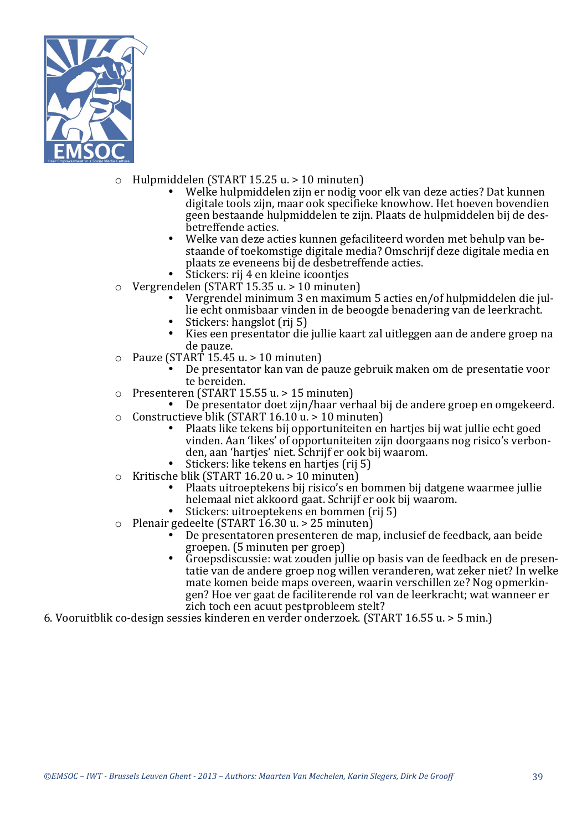

- $\circ$  Hulpmiddelen (START 15.25 u. > 10 minuten)
	- Welke hulpmiddelen zijn er nodig voor elk van deze acties? Dat kunnen digitale tools zijn, maar ook specifieke knowhow. Het hoeven bovendien geen bestaande hulpmiddelen te zijn. Plaats de hulpmiddelen bij de desbetreffende acties.
	- Welke van deze acties kunnen gefaciliteerd worden met behulp van bestaande of toekomstige digitale media? Omschrijf deze digitale media en plaats ze eveneens bij de desbetreffende acties.
	- Stickers: rij 4 en kleine icoonties
- $\circ$  Vergrendelen (START 15.35 u. > 10 minuten)
	- Vergrendel minimum 3 en maximum 5 acties en/of hulpmiddelen die jullie echt onmisbaar vinden in de beoogde benadering van de leerkracht.
	- Stickers: hangslot (rij 5)
	- Kies een presentator die jullie kaart zal uitleggen aan de andere groep na de pauze.
- $\circ$  Pauze (START 15.45 u. > 10 minuten)
	- De presentator kan van de pauze gebruik maken om de presentatie voor te bereiden.
- $\circ$  Presenteren (START 15.55 u. > 15 minuten)
- De presentator doet zijn/haar verhaal bij de andere groep en omgekeerd.  $\circ$  Constructieve blik (START 16.10  $\mu$  > 10 minuten)
	- Plaats like tekens bij opportuniteiten en harties bij wat jullie echt goed vinden. Aan 'likes' of opportuniteiten zijn doorgaans nog risico's verbonden, aan 'hartjes' niet. Schrijf er ook bij waarom.
	- Stickers: like tekens en hartjes (rij 5)
- $\circ$  Kritische blik (START 16.20 u. > 10 minuten)
	- Plaats uitroeptekens bij risico's en bommen bij datgene waarmee jullie helemaal niet akkoord gaat. Schrijf er ook bij waarom.
	- Stickers: uitroeptekens en bommen (rij 5)
- $\circ$  Plenair gedeelte (START 16.30 u. > 25 minuten)
	- De presentatoren presenteren de map, inclusief de feedback, aan beide groepen. (5 minuten per groep)
	- Groepsdiscussie: wat zouden jullie op basis van de feedback en de presentatie van de andere groep nog willen veranderen, wat zeker niet? In welke mate komen beide maps overeen, waarin verschillen ze? Nog opmerkingen? Hoe ver gaat de faciliterende rol van de leerkracht; wat wanneer er zich toch een acuut pestprobleem stelt?
- 6. Vooruitblik co-design sessies kinderen en verder onderzoek. (START 16.55 u. > 5 min.)